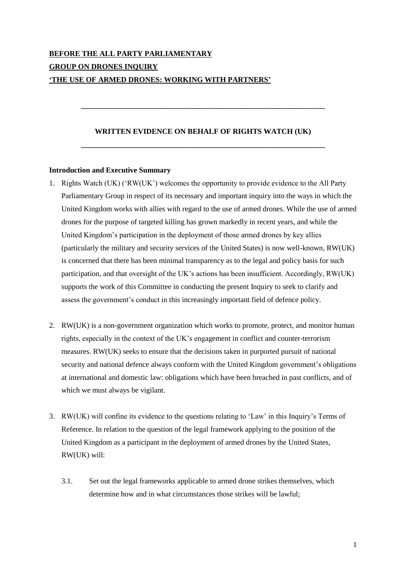# **BEFORE THE ALL PARTY PARLIAMENTARY GROUP ON DRONES INQUIRY 'THE USE OF ARMED DRONES: WORKING WITH PARTNERS'**

## **WRITTEN EVIDENCE ON BEHALF OF RIGHTS WATCH (UK) \_\_\_\_\_\_\_\_\_\_\_\_\_\_\_\_\_\_\_\_\_\_\_\_\_\_\_\_\_\_\_\_\_\_\_\_\_\_\_\_\_\_\_\_\_\_\_\_\_\_\_\_\_\_\_\_\_\_\_\_\_\_\_\_\_**

**\_\_\_\_\_\_\_\_\_\_\_\_\_\_\_\_\_\_\_\_\_\_\_\_\_\_\_\_\_\_\_\_\_\_\_\_\_\_\_\_\_\_\_\_\_\_\_\_\_\_\_\_\_\_\_\_\_\_\_\_\_\_\_\_\_**

#### **Introduction and Executive Summary**

- 1. Rights Watch (UK) ('RW(UK') welcomes the opportunity to provide evidence to the All Party Parliamentary Group in respect of its necessary and important inquiry into the ways in which the United Kingdom works with allies with regard to the use of armed drones. While the use of armed drones for the purpose of targeted killing has grown markedly in recent years, and while the United Kingdom's participation in the deployment of those armed drones by key allies (particularly the military and security services of the United States) is now well-known, RW(UK) is concerned that there has been minimal transparency as to the legal and policy basis for such participation, and that oversight of the UK's actions has been insufficient. Accordingly, RW(UK) supports the work of this Committee in conducting the present Inquiry to seek to clarify and assess the government's conduct in this increasingly important field of defence policy.
- 2. RW(UK) is a non-government organization which works to promote, protect, and monitor human rights, especially in the context of the UK's engagement in conflict and counter-terrorism measures. RW(UK) seeks to ensure that the decisions taken in purported pursuit of national security and national defence always conform with the United Kingdom government's obligations at international and domestic law: obligations which have been breached in past conflicts, and of which we must always be vigilant.
- 3. RW(UK) will confine its evidence to the questions relating to 'Law' in this Inquiry's Terms of Reference. In relation to the question of the legal framework applying to the position of the United Kingdom as a participant in the deployment of armed drones by the United States, RW(UK) will:
	- 3.1. Set out the legal frameworks applicable to armed drone strikes themselves, which determine how and in what circumstances those strikes will be lawful;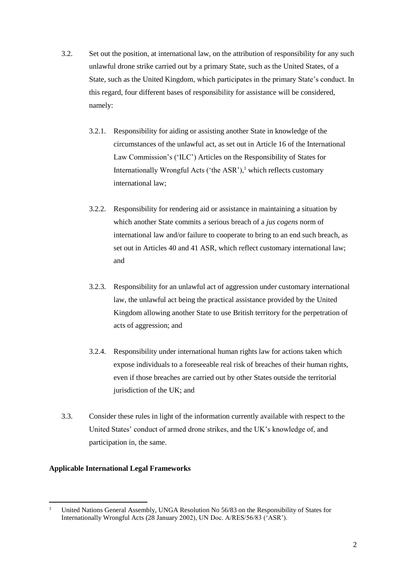- 3.2. Set out the position, at international law, on the attribution of responsibility for any such unlawful drone strike carried out by a primary State, such as the United States, of a State, such as the United Kingdom, which participates in the primary State's conduct. In this regard, four different bases of responsibility for assistance will be considered, namely:
	- 3.2.1. Responsibility for aiding or assisting another State in knowledge of the circumstances of the unlawful act, as set out in Article 16 of the International Law Commission's ('ILC') Articles on the Responsibility of States for Internationally Wrongful Acts ('the ASR'), $<sup>1</sup>$  which reflects customary</sup> international law;
	- 3.2.2. Responsibility for rendering aid or assistance in maintaining a situation by which another State commits a serious breach of a *jus cogens* norm of international law and/or failure to cooperate to bring to an end such breach, as set out in Articles 40 and 41 ASR, which reflect customary international law; and
	- 3.2.3. Responsibility for an unlawful act of aggression under customary international law, the unlawful act being the practical assistance provided by the United Kingdom allowing another State to use British territory for the perpetration of acts of aggression; and
	- 3.2.4. Responsibility under international human rights law for actions taken which expose individuals to a foreseeable real risk of breaches of their human rights, even if those breaches are carried out by other States outside the territorial jurisdiction of the UK; and
- 3.3. Consider these rules in light of the information currently available with respect to the United States' conduct of armed drone strikes, and the UK's knowledge of, and participation in, the same.

#### **Applicable International Legal Frameworks**

 $\mathbf{1}$ <sup>1</sup> United Nations General Assembly, UNGA Resolution No 56/83 on the Responsibility of States for Internationally Wrongful Acts (28 January 2002), UN Doc. A/RES/56/83 ('ASR').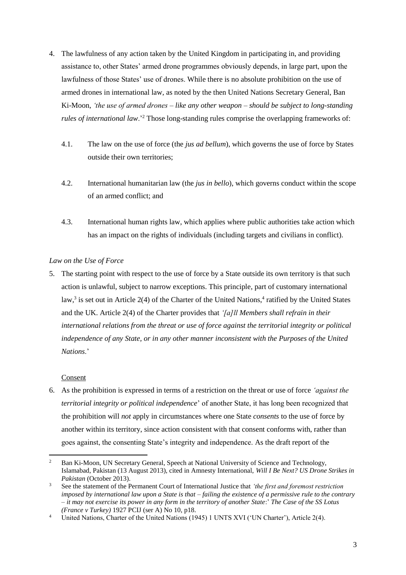- 4. The lawfulness of any action taken by the United Kingdom in participating in, and providing assistance to, other States' armed drone programmes obviously depends, in large part, upon the lawfulness of those States' use of drones. While there is no absolute prohibition on the use of armed drones in international law, as noted by the then United Nations Secretary General, Ban Ki-Moon, *'the use of armed drones – like any other weapon – should be subject to long-standing rules of international law*.<sup>2</sup> Those long-standing rules comprise the overlapping frameworks of:
	- 4.1. The law on the use of force (the *jus ad bellum*), which governs the use of force by States outside their own territories;
	- 4.2. International humanitarian law (the *jus in bello*), which governs conduct within the scope of an armed conflict; and
	- 4.3. International human rights law, which applies where public authorities take action which has an impact on the rights of individuals (including targets and civilians in conflict).

## *Law on the Use of Force*

5. The starting point with respect to the use of force by a State outside its own territory is that such action is unlawful, subject to narrow exceptions. This principle, part of customary international law,<sup>3</sup> is set out in Article 2(4) of the Charter of the United Nations,<sup>4</sup> ratified by the United States and the UK. Article 2(4) of the Charter provides that *'[a]ll Members shall refrain in their international relations from the threat or use of force against the territorial integrity or political independence of any State, or in any other manner inconsistent with the Purposes of the United Nations*.'

## Consent

6. As the prohibition is expressed in terms of a restriction on the threat or use of force *'against the territorial integrity or political independence*' of another State, it has long been recognized that the prohibition will *not* apply in circumstances where one State *consents* to the use of force by another within its territory, since action consistent with that consent conforms with, rather than goes against, the consenting State's integrity and independence. As the draft report of the

 $\overline{a}$ <sup>2</sup> Ban Ki-Moon, UN Secretary General, Speech at National University of Science and Technology, Islamabad, Pakistan (13 August 2013), cited in Amnesty International, *Will I Be Next? US Drone Strikes in Pakistan* (October 2013).

<sup>3</sup> See the statement of the Permanent Court of International Justice that *'the first and foremost restriction imposed by international law upon a State is that – failing the existence of a permissive rule to the contrary – it may not exercise its power in any form in the territory of another State*:' *The Case of the SS Lotus (France v Turkey)* 1927 PCIJ (ser A) No 10, p18.

<sup>4</sup> United Nations, Charter of the United Nations (1945) 1 UNTS XVI ('UN Charter'), Article 2(4).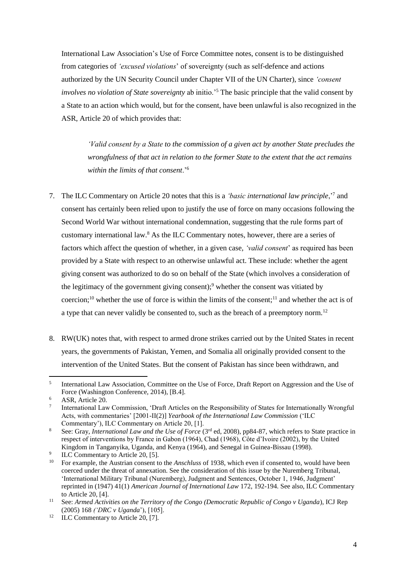International Law Association's Use of Force Committee notes, consent is to be distinguished from categories of *'excused violations*' of sovereignty (such as self-defence and actions authorized by the UN Security Council under Chapter VII of the UN Charter), since *'consent involves no violation of State sovereignty* ab initio.'<sup>5</sup> The basic principle that the valid consent by a State to an action which would, but for the consent, have been unlawful is also recognized in the ASR, Article 20 of which provides that:

*'Valid consent by a State to the commission of a given act by another State precludes the wrongfulness of that act in relation to the former State to the extent that the act remains within the limits of that consent*.'<sup>6</sup>

- 7. The ILC Commentary on Article 20 notes that this is a *'basic international law principle*,'<sup>7</sup> and consent has certainly been relied upon to justify the use of force on many occasions following the Second World War without international condemnation, suggesting that the rule forms part of customary international law. <sup>8</sup> As the ILC Commentary notes, however, there are a series of factors which affect the question of whether, in a given case, *'valid consent*' as required has been provided by a State with respect to an otherwise unlawful act. These include: whether the agent giving consent was authorized to do so on behalf of the State (which involves a consideration of the legitimacy of the government giving consent);<sup>9</sup> whether the consent was vitiated by coercion;<sup>10</sup> whether the use of force is within the limits of the consent;<sup>11</sup> and whether the act is of a type that can never validly be consented to, such as the breach of a preemptory norm.<sup>12</sup>
- 8. RW(UK) notes that, with respect to armed drone strikes carried out by the United States in recent years, the governments of Pakistan, Yemen, and Somalia all originally provided consent to the intervention of the United States. But the consent of Pakistan has since been withdrawn, and

<sup>12</sup> ILC Commentary to Article 20, [7].

 5 International Law Association, Committee on the Use of Force, Draft Report on Aggression and the Use of Force (Washington Conference, 2014), [B.4].

<sup>&</sup>lt;sup>6</sup> ASR, Article 20.

<sup>7</sup> International Law Commission, 'Draft Articles on the Responsibility of States for Internationally Wrongful Acts, with commentaries' [2001-II(2)] *Yearbook of the International Law Commission* ('ILC Commentary'), ILC Commentary on Article 20, [1].

<sup>8</sup> See: Gray, *International Law and the Use of Force* (3<sup>rd</sup> ed, 2008), pp84-87, which refers to State practice in respect of interventions by France in Gabon (1964), Chad (1968), Côte d'Ivoire (2002), by the United Kingdom in Tanganyika, Uganda, and Kenya (1964), and Senegal in Guinea-Bissau (1998).

<sup>9</sup> ILC Commentary to Article 20, [5].

<sup>&</sup>lt;sup>10</sup> For example, the Austrian consent to the *Anschluss* of 1938, which even if consented to, would have been coerced under the threat of annexation. See the consideration of this issue by the Nuremberg Tribunal, 'International Military Tribunal (Nuremberg), Judgment and Sentences, October 1, 1946, Judgment' reprinted in (1947) 41(1) *American Journal of International Law* 172, 192-194. See also, ILC Commentary to Article 20, [4].

<sup>11</sup> See: *Armed Activities on the Territory of the Congo (Democratic Republic of Congo v Uganda*), ICJ Rep (2005) 168 *('DRC v Uganda*'), [105].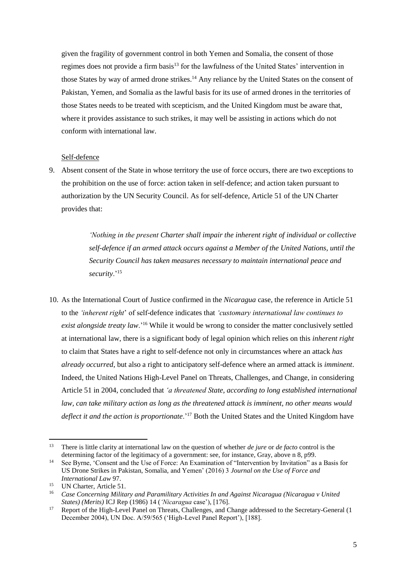given the fragility of government control in both Yemen and Somalia, the consent of those regimes does not provide a firm basis<sup>13</sup> for the lawfulness of the United States' intervention in those States by way of armed drone strikes.<sup>14</sup> Any reliance by the United States on the consent of Pakistan, Yemen, and Somalia as the lawful basis for its use of armed drones in the territories of those States needs to be treated with scepticism, and the United Kingdom must be aware that, where it provides assistance to such strikes, it may well be assisting in actions which do not conform with international law.

#### Self-defence

9. Absent consent of the State in whose territory the use of force occurs, there are two exceptions to the prohibition on the use of force: action taken in self-defence; and action taken pursuant to authorization by the UN Security Council. As for self-defence, Article 51 of the UN Charter provides that:

> *'Nothing in the present Charter shall impair the inherent right of individual or collective self-defence if an armed attack occurs against a Member of the United Nations, until the Security Council has taken measures necessary to maintain international peace and security*.'<sup>15</sup>

10. As the International Court of Justice confirmed in the *Nicaragua* case, the reference in Article 51 to the *'inherent right*' of self-defence indicates that *'customary international law continues to exist alongside treaty law*.'<sup>16</sup> While it would be wrong to consider the matter conclusively settled at international law, there is a significant body of legal opinion which relies on this *inherent right* to claim that States have a right to self-defence not only in circumstances where an attack *has already occurred*, but also a right to anticipatory self-defence where an armed attack is *imminent*. Indeed, the United Nations High-Level Panel on Threats, Challenges, and Change, in considering Article 51 in 2004, concluded that *'a threatened State, according to long established international law, can take military action as long as the threatened attack is imminent, no other means would deflect it and the action is proportionate*.'<sup>17</sup> Both the United States and the United Kingdom have

 $13$ <sup>13</sup> There is little clarity at international law on the question of whether *de jure* or *de facto* control is the determining factor of the legitimacy of a government: see, for instance, Gray, above n 8, p99.

<sup>&</sup>lt;sup>14</sup> See Byrne, 'Consent and the Use of Force: An Examination of "Intervention by Invitation" as a Basis for US Drone Strikes in Pakistan, Somalia, and Yemen' (2016) 3 *Journal on the Use of Force and International Law* 97.

<sup>&</sup>lt;sup>15</sup> UN Charter, Article 51.

<sup>16</sup> *Case Concerning Military and Paramilitary Activities In and Against Nicaragua (Nicaragua v United States) (Merits)* ICJ Rep (1986) 14 (*'Nicaragua* case'), [176].

<sup>&</sup>lt;sup>17</sup> Report of the High-Level Panel on Threats, Challenges, and Change addressed to the Secretary-General (1 December 2004), UN Doc. A/59/565 ('High-Level Panel Report'), [188].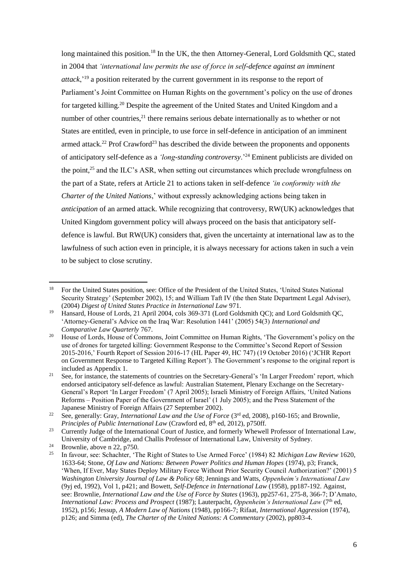long maintained this position.<sup>18</sup> In the UK, the then Attorney-General, Lord Goldsmith OC, stated in 2004 that *'international law permits the use of force in self-defence against an imminent attack*,'<sup>19</sup> a position reiterated by the current government in its response to the report of Parliament's Joint Committee on Human Rights on the government's policy on the use of drones for targeted killing.<sup>20</sup> Despite the agreement of the United States and United Kingdom and a number of other countries,<sup>21</sup> there remains serious debate internationally as to whether or not States are entitled, even in principle, to use force in self-defence in anticipation of an imminent armed attack.<sup>22</sup> Prof Crawford<sup>23</sup> has described the divide between the proponents and opponents of anticipatory self-defence as a *'long-standing controversy*.'<sup>24</sup> Eminent publicists are divided on the point,<sup>25</sup> and the ILC's ASR, when setting out circumstances which preclude wrongfulness on the part of a State, refers at Article 21 to actions taken in self-defence *'in conformity with the Charter of the United Nations*,' without expressly acknowledging actions being taken in *anticipation* of an armed attack. While recognizing that controversy, RW(UK) acknowledges that United Kingdom government policy will always proceed on the basis that anticipatory selfdefence is lawful. But RW(UK) considers that, given the uncertainty at international law as to the lawfulness of such action even in principle, it is always necessary for actions taken in such a vein to be subject to close scrutiny.

<sup>18</sup> <sup>18</sup> For the United States position, see: Office of the President of the United States, 'United States National Security Strategy' (September 2002), 15; and William Taft IV (the then State Department Legal Adviser), (2004) *Digest of United States Practice in International Law* 971.

<sup>&</sup>lt;sup>19</sup> Hansard, House of Lords, 21 April 2004, cols 369-371 (Lord Goldsmith QC); and Lord Goldsmith QC, 'Attorney-General's Advice on the Iraq War: Resolution 1441' (2005) 54(3) *International and Comparative Law Quarterly* 767.

<sup>&</sup>lt;sup>20</sup> House of Lords, House of Commons, Joint Committee on Human Rights, 'The Government's policy on the use of drones for targeted killing: Government Response to the Committee's Second Report of Session 2015-2016,' Fourth Report of Session 2016-17 (HL Paper 49, HC 747) (19 October 2016) ('JCHR Report on Government Response to Targeted Killing Report'). The Government's response to the original report is included as Appendix 1.

<sup>&</sup>lt;sup>21</sup> See, for instance, the statements of countries on the Secretary-General's 'In Larger Freedom' report, which endorsed anticipatory self-defence as lawful: Australian Statement, Plenary Exchange on the Secretary-General's Report 'In Larger Freedom' (7 April 2005); Israeli Ministry of Foreign Affairs, 'United Nations Reforms – Position Paper of the Government of Israel' (1 July 2005); and the Press Statement of the Japanese Ministry of Foreign Affairs (27 September 2002).

<sup>&</sup>lt;sup>22</sup> See, generally: Gray, *International Law and the Use of Force* (3<sup>rd</sup> ed, 2008), p160-165; and Brownlie, *Principles of Public International Law (Crawford ed, 8<sup>th</sup> ed, 2012), p750ff.* 

<sup>&</sup>lt;sup>23</sup> Currently Judge of the International Court of Justice, and formerly Whewell Professor of International Law, University of Cambridge, and Challis Professor of International Law, University of Sydney.

<sup>&</sup>lt;sup>24</sup> Brownlie, above n 22, p750.<br><sup>25</sup> In favour, see: Schochter, 'Tl

<sup>25</sup> In favour, see: Schachter, 'The Right of States to Use Armed Force' (1984) 82 *Michigan Law Review* 1620, 1633-64; Stone, *Of Law and Nations: Between Power Politics and Human Hopes* (1974), p3; Franck, 'When, If Ever, May States Deploy Military Force Without Prior Security Council Authorization?' (2001) 5 *Washington University Journal of Law & Policy* 68; Jennings and Watts, *Oppenheim's International Law* (9yj ed, 1992), Vol 1, p421; and Bowett, *Self-Defence in International Law* (1958), pp187-192. Against, see: Brownlie, *International Law and the Use of Force by States* (1963), pp257-61, 275-8, 366-7; D'Amato, *International Law: Process and Prospect* (1987); Lauterpacht, *Oppenheim's International Law* (7th ed, 1952), p156; Jessup, *A Modern Law of Nations* (1948), pp166-7; Rifaat, *International Aggression* (1974), p126; and Simma (ed), *The Charter of the United Nations: A Commentary* (2002), pp803-4.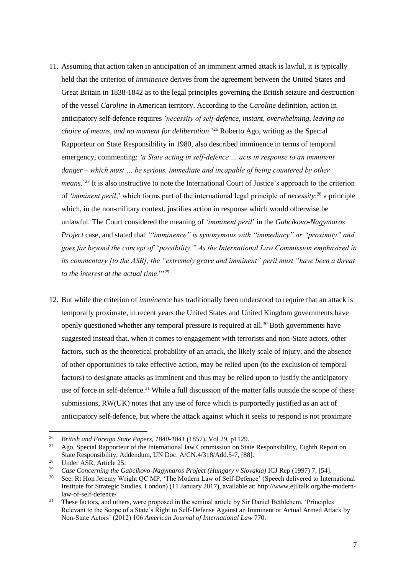- 11. Assuming that action taken in anticipation of an imminent armed attack is lawful, it is typically held that the criterion of *imminence* derives from the agreement between the United States and Great Britain in 1838-1842 as to the legal principles governing the British seizure and destruction of the vessel *Caroline* in American territory. According to the *Caroline* definition, action in anticipatory self-defence requires *'necessity of self-defence, instant, overwhelming, leaving no choice of means, and no moment for deliberation*.'<sup>26</sup> Roberto Ago, writing as the Special Rapporteur on State Responsibility in 1980, also described imminence in terms of temporal emergency, commenting: *'a State acting in self-defence … acts in response to an imminent danger – which must … be serious, immediate and incapable of being countered by other means.*<sup>27</sup> It is also instructive to note the International Court of Justice's approach to the criterion of *'imminent peril*,' which forms part of the international legal principle of *necessity*: <sup>28</sup> a principle which, in the non-military context, justifies action in response which would otherwise be unlawful. The Court considered the meaning of *'imminent peril*' in the *Gabcíkovo-Nagymaros Project* case, and stated that *'"imminence" is synonymous with "immediacy" or "proximity" and goes far beyond the concept of "possibility." As the International Law Commission emphasized in its commentary [to the ASR], the "extremely grave and imminent" peril must "have been a threat to the interest at the actual time*."'<sup>29</sup>
- 12. But while the criterion of *imminence* has traditionally been understood to require that an attack is temporally proximate, in recent years the United States and United Kingdom governments have openly questioned whether any temporal pressure is required at all.<sup>30</sup> Both governments have suggested instead that, when it comes to engagement with terrorists and non-State actors, other factors, such as the theoretical probability of an attack, the likely scale of injury, and the absence of other opportunities to take effective action, may be relied upon (to the exclusion of temporal factors) to designate attacks as imminent and thus may be relied upon to justify the anticipatory use of force in self-defence.<sup>31</sup> While a full discussion of the matter falls outside the scope of these submissions, RW(UK) notes that any use of force which is purportedly justified as an act of anticipatory self-defence, but where the attack against which it seeks to respond is not proximate

 $\overline{a}$ 

<sup>26</sup> *British and Foreign State Papers, 1840-1841* (1857), Vol 29, p1129.

<sup>27</sup> Ago, Special Rapporteur of the International law Commission on State Responsibility, Eighth Report on State Responsibility, Addendum, UN Doc. A/CN.4/318/Add.5-7, [88].

<sup>&</sup>lt;sup>28</sup> Under ASR, Article 25.

<sup>&</sup>lt;sup>29</sup> *Case Concerning the Gabcíkovo-Nagymaros Project (Hungary v Slovakia)* ICJ Rep (1997) 7, [54].<br><sup>30</sup> See Bt Han Japany Wright OC MD 'The Modern Law of Self Defense' (Speech delivered to Inter

See: Rt Hon Jeremy Wright QC MP, 'The Modern Law of Self-Defence' (Speech delivered to International Institute for Strategic Studies, London) (11 January 2017), available at: http://www.ejiltalk.org/the-modernlaw-of-self-defence/

<sup>&</sup>lt;sup>31</sup> These factors, and others, were proposed in the seminal article by Sir Daniel Bethlehem, 'Principles Relevant to the Scope of a State's Right to Self-Defense Against an Imminent or Actual Armed Attack by Non-State Actors' (2012) 106 *American Journal of International Law* 770.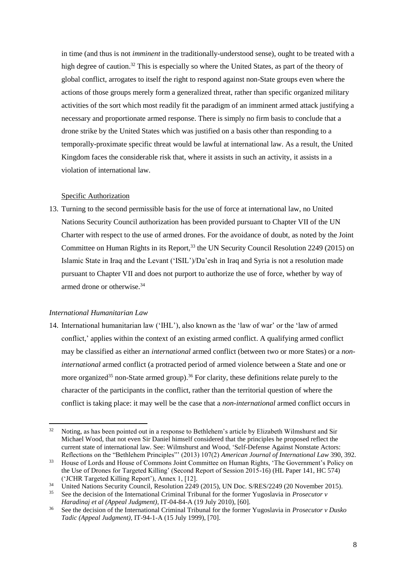in time (and thus is not *imminent* in the traditionally-understood sense), ought to be treated with a high degree of caution. <sup>32</sup> This is especially so where the United States, as part of the theory of global conflict, arrogates to itself the right to respond against non-State groups even where the actions of those groups merely form a generalized threat, rather than specific organized military activities of the sort which most readily fit the paradigm of an imminent armed attack justifying a necessary and proportionate armed response. There is simply no firm basis to conclude that a drone strike by the United States which was justified on a basis other than responding to a temporally-proximate specific threat would be lawful at international law. As a result, the United Kingdom faces the considerable risk that, where it assists in such an activity, it assists in a violation of international law.

## Specific Authorization

13. Turning to the second permissible basis for the use of force at international law, no United Nations Security Council authorization has been provided pursuant to Chapter VII of the UN Charter with respect to the use of armed drones. For the avoidance of doubt, as noted by the Joint Committee on Human Rights in its Report,<sup>33</sup> the UN Security Council Resolution 2249 (2015) on Islamic State in Iraq and the Levant ('ISIL')/Da'esh in Iraq and Syria is not a resolution made pursuant to Chapter VII and does not purport to authorize the use of force, whether by way of armed drone or otherwise.<sup>34</sup>

## *International Humanitarian Law*

14. International humanitarian law ('IHL'), also known as the 'law of war' or the 'law of armed conflict,' applies within the context of an existing armed conflict. A qualifying armed conflict may be classified as either an *international* armed conflict (between two or more States) or a *noninternational* armed conflict (a protracted period of armed violence between a State and one or more organized<sup>35</sup> non-State armed group).<sup>36</sup> For clarity, these definitions relate purely to the character of the participants in the conflict, rather than the territorial question of where the conflict is taking place: it may well be the case that a *non-international* armed conflict occurs in

l <sup>32</sup> Noting, as has been pointed out in a response to Bethlehem's article by Elizabeth Wilmshurst and Sir Michael Wood, that not even Sir Daniel himself considered that the principles he proposed reflect the current state of international law. See: Wilmshurst and Wood, 'Self-Defense Against Nonstate Actors: Reflections on the "Bethlehem Principles"' (2013) 107(2) *American Journal of International Law* 390, 392.

<sup>&</sup>lt;sup>33</sup> House of Lords and House of Commons Joint Committee on Human Rights, 'The Government's Policy on the Use of Drones for Targeted Killing' (Second Report of Session 2015-16) (HL Paper 141, HC 574) ('JCHR Targeted Killing Report'), Annex 1, [12].

<sup>&</sup>lt;sup>34</sup> United Nations Security Council, Resolution 2249 (2015), UN Doc. S/RES/2249 (20 November 2015).

<sup>35</sup> See the decision of the International Criminal Tribunal for the former Yugoslavia in *Prosecutor v Haradinaj et al (Appeal Judgment)*, IT-04-84-A (19 July 2010), [60].

<sup>36</sup> See the decision of the International Criminal Tribunal for the former Yugoslavia in *Prosecutor v Dusko Tadic (Appeal Judgment)*, IT-94-1-A (15 July 1999), [70].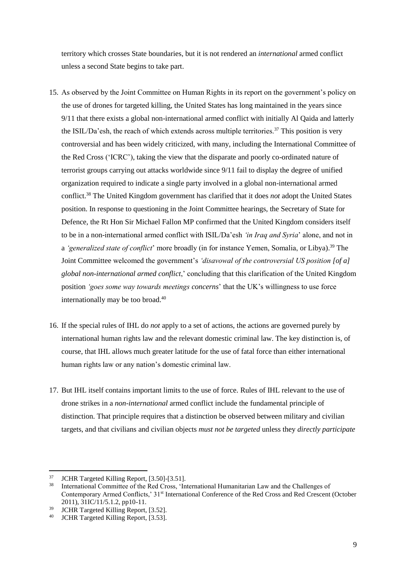territory which crosses State boundaries, but it is not rendered an *international* armed conflict unless a second State begins to take part.

- 15. As observed by the Joint Committee on Human Rights in its report on the government's policy on the use of drones for targeted killing, the United States has long maintained in the years since 9/11 that there exists a global non-international armed conflict with initially Al Qaida and latterly the ISIL/Da'esh, the reach of which extends across multiple territories.<sup>37</sup> This position is very controversial and has been widely criticized, with many, including the International Committee of the Red Cross ('ICRC'), taking the view that the disparate and poorly co-ordinated nature of terrorist groups carrying out attacks worldwide since 9/11 fail to display the degree of unified organization required to indicate a single party involved in a global non-international armed conflict.<sup>38</sup> The United Kingdom government has clarified that it does *not* adopt the United States position. In response to questioning in the Joint Committee hearings, the Secretary of State for Defence, the Rt Hon Sir Michael Fallon MP confirmed that the United Kingdom considers itself to be in a non-international armed conflict with ISIL/Da'esh *'in Iraq and Syria*' alone, and not in a *'generalized state of conflict'* more broadly (in for instance Yemen, Somalia, or Libya).<sup>39</sup> The Joint Committee welcomed the government's *'disavowal of the controversial US position [of a] global non-international armed conflict*,' concluding that this clarification of the United Kingdom position *'goes some way towards meetings concerns*' that the UK's willingness to use force internationally may be too broad.<sup>40</sup>
- 16. If the special rules of IHL do *not* apply to a set of actions, the actions are governed purely by international human rights law and the relevant domestic criminal law. The key distinction is, of course, that IHL allows much greater latitude for the use of fatal force than either international human rights law or any nation's domestic criminal law.
- 17. But IHL itself contains important limits to the use of force. Rules of IHL relevant to the use of drone strikes in a *non-international* armed conflict include the fundamental principle of distinction. That principle requires that a distinction be observed between military and civilian targets, and that civilians and civilian objects *must not be targeted* unless they *directly participate*

<sup>37</sup> <sup>37</sup> JCHR Targeted Killing Report, [3.50]-[3.51].

<sup>38</sup> International Committee of the Red Cross, 'International Humanitarian Law and the Challenges of Contemporary Armed Conflicts,' 31st International Conference of the Red Cross and Red Crescent (October 2011), 31IC/11/5.1.2, pp10-11.

 $39$  JCHR Targeted Killing Report, [3.52].

JCHR Targeted Killing Report, [3.53].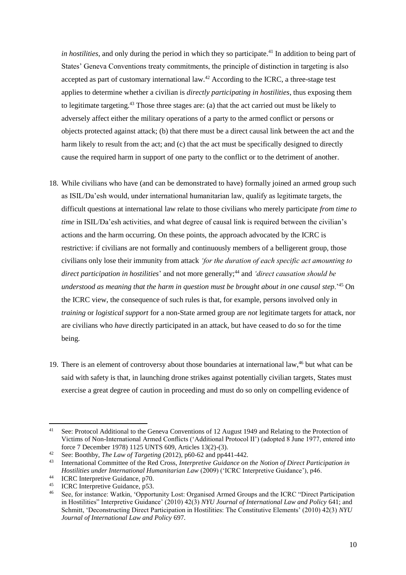*in hostilities*, and only during the period in which they so participate.<sup>41</sup> In addition to being part of States' Geneva Conventions treaty commitments, the principle of distinction in targeting is also accepted as part of customary international law.<sup>42</sup> According to the ICRC, a three-stage test applies to determine whether a civilian is *directly participating in hostilities*, thus exposing them to legitimate targeting.<sup>43</sup> Those three stages are: (a) that the act carried out must be likely to adversely affect either the military operations of a party to the armed conflict or persons or objects protected against attack; (b) that there must be a direct causal link between the act and the harm likely to result from the act; and (c) that the act must be specifically designed to directly cause the required harm in support of one party to the conflict or to the detriment of another.

- 18. While civilians who have (and can be demonstrated to have) formally joined an armed group such as ISIL/Da'esh would, under international humanitarian law, qualify as legitimate targets, the difficult questions at international law relate to those civilians who merely participate *from time to time* in ISIL/Da'esh activities, and what degree of causal link is required between the civilian's actions and the harm occurring. On these points, the approach advocated by the ICRC is restrictive: if civilians are not formally and continuously members of a belligerent group, those civilians only lose their immunity from attack *'for the duration of each specific act amounting to direct participation in hostilities*' and not more generally; <sup>44</sup> and *'direct causation should be understood as meaning that the harm in question must be brought about in one causal step*.'<sup>45</sup> On the ICRC view, the consequence of such rules is that, for example, persons involved only in *training* or *logistical support* for a non-State armed group are *not* legitimate targets for attack, nor are civilians who *have* directly participated in an attack, but have ceased to do so for the time being.
- 19. There is an element of controversy about those boundaries at international law,<sup>46</sup> but what can be said with safety is that, in launching drone strikes against potentially civilian targets, States must exercise a great degree of caution in proceeding and must do so only on compelling evidence of

 $41$ See: Protocol Additional to the Geneva Conventions of 12 August 1949 and Relating to the Protection of Victims of Non-International Armed Conflicts ('Additional Protocol II') (adopted 8 June 1977, entered into force 7 December 1978) 1125 UNTS 609, Articles 13(2)-(3).

<sup>42</sup> See: Boothby, *The Law of Targeting* (2012), p60-62 and pp441-442.

<sup>43</sup> International Committee of the Red Cross, *Interpretive Guidance on the Notion of Direct Participation in Hostilities under International Humanitarian Law* (2009) ('ICRC Interpretive Guidance'), p46.

<sup>44</sup> ICRC Interpretive Guidance, p70. <sup>45</sup> ICRC Interpretive Guidance, p53.

<sup>46</sup> See, for instance: Watkin, 'Opportunity Lost: Organised Armed Groups and the ICRC "Direct Participation in Hostilities" Interpretive Guidance' (2010) 42(3) *NYU Journal of International Law and Policy* 641; and Schmitt, 'Deconstructing Direct Participation in Hostilities: The Constitutive Elements' (2010) 42(3) *NYU Journal of International Law and Policy* 697.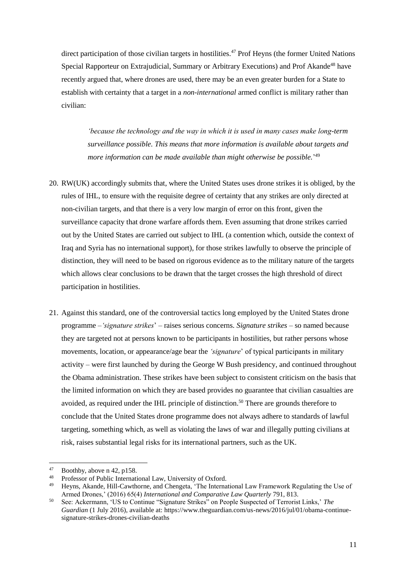direct participation of those civilian targets in hostilities.<sup>47</sup> Prof Heyns (the former United Nations Special Rapporteur on Extrajudicial, Summary or Arbitrary Executions) and Prof Akande<sup>48</sup> have recently argued that, where drones are used, there may be an even greater burden for a State to establish with certainty that a target in a *non-international* armed conflict is military rather than civilian:

*'because the technology and the way in which it is used in many cases make long-term surveillance possible. This means that more information is available about targets and more information can be made available than might otherwise be possible.*' 49

- 20. RW(UK) accordingly submits that, where the United States uses drone strikes it is obliged, by the rules of IHL, to ensure with the requisite degree of certainty that any strikes are only directed at non-civilian targets, and that there is a very low margin of error on this front, given the surveillance capacity that drone warfare affords them. Even assuming that drone strikes carried out by the United States are carried out subject to IHL (a contention which, outside the context of Iraq and Syria has no international support), for those strikes lawfully to observe the principle of distinction, they will need to be based on rigorous evidence as to the military nature of the targets which allows clear conclusions to be drawn that the target crosses the high threshold of direct participation in hostilities.
- 21. Against this standard, one of the controversial tactics long employed by the United States drone programme –*'signature strikes*' – raises serious concerns. *Signature strikes* – so named because they are targeted not at persons known to be participants in hostilities, but rather persons whose movements, location, or appearance/age bear the *'signature*' of typical participants in military activity – were first launched by during the George W Bush presidency, and continued throughout the Obama administration. These strikes have been subject to consistent criticism on the basis that the limited information on which they are based provides no guarantee that civilian casualties are avoided, as required under the IHL principle of distinction.<sup>50</sup> There are grounds therefore to conclude that the United States drone programme does not always adhere to standards of lawful targeting, something which, as well as violating the laws of war and illegally putting civilians at risk, raises substantial legal risks for its international partners, such as the UK.

<sup>47</sup>  $^{47}$  Boothby, above n 42, p158.

<sup>&</sup>lt;sup>48</sup> Professor of Public International Law, University of Oxford.<br><sup>49</sup> Houng, Akanda Hill Coutherna, and Changata, 'The Interna

Heyns, Akande, Hill-Cawthorne, and Chengeta, 'The International Law Framework Regulating the Use of Armed Drones,' (2016) 65(4) *International and Comparative Law Quarterly* 791, 813.

<sup>50</sup> See: Ackermann, 'US to Continue "Signature Strikes" on People Suspected of Terrorist Links,' *The Guardian* (1 July 2016), available at: https://www.theguardian.com/us-news/2016/jul/01/obama-continuesignature-strikes-drones-civilian-deaths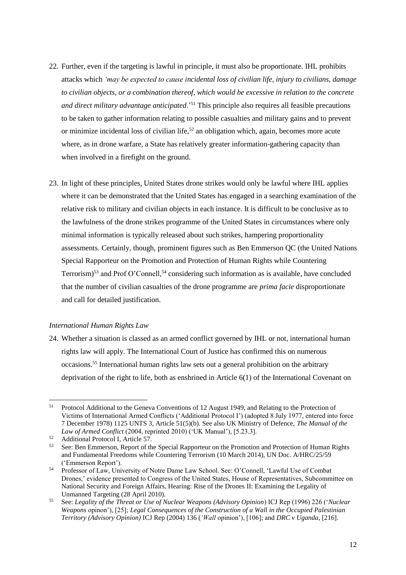- 22. Further, even if the targeting is lawful in principle, it must also be proportionate. IHL prohibits attacks which *'may be expected to cause incidental loss of civilian life, injury to civilians, damage to civilian objects, or a combination thereof, which would be excessive in relation to the concrete and direct military advantage anticipated*.'<sup>51</sup> This principle also requires all feasible precautions to be taken to gather information relating to possible casualties and military gains and to prevent or minimize incidental loss of civilian life,<sup>52</sup> an obligation which, again, becomes more acute where, as in drone warfare, a State has relatively greater information-gathering capacity than when involved in a firefight on the ground.
- 23. In light of these principles, United States drone strikes would only be lawful where IHL applies where it can be demonstrated that the United States has engaged in a searching examination of the relative risk to military and civilian objects in each instance. It is difficult to be conclusive as to the lawfulness of the drone strikes programme of the United States in circumstances where only minimal information is typically released about such strikes, hampering proportionality assessments. Certainly, though, prominent figures such as Ben Emmerson QC (the United Nations Special Rapporteur on the Promotion and Protection of Human Rights while Countering Terrorism)<sup>53</sup> and Prof O'Connell,<sup>54</sup> considering such information as is available, have concluded that the number of civilian casualties of the drone programme are *prima facie* disproportionate and call for detailed justification.

#### *International Human Rights Law*

24. Whether a situation is classed as an armed conflict governed by IHL or not, international human rights law will apply. The International Court of Justice has confirmed this on numerous occasions.<sup>55</sup> International human rights law sets out a general prohibition on the arbitrary deprivation of the right to life, both as enshrined in Article 6(1) of the International Covenant on

<sup>51</sup> <sup>51</sup> Protocol Additional to the Geneva Conventions of 12 August 1949, and Relating to the Protection of Victims of International Armed Conflicts ('Additional Protocol I') (adopted 8 July 1977, entered into force 7 December 1978) 1125 UNTS 3, Article 51(5)(b). See also UK Ministry of Defence, *The Manual of the Law of Armed Conflict* (2004, reprinted 2010) ('UK Manual'), [5.23.3].

<sup>&</sup>lt;sup>52</sup> Additional Protocol I, Article 57.<br> $53$  See: Ben Emmerson, Report of th

<sup>53</sup> See: Ben Emmerson, Report of the Special Rapporteur on the Promotion and Protection of Human Rights and Fundamental Freedoms while Countering Terrorism (10 March 2014), UN Doc. A/HRC/25/59 ('Emmerson Report').

<sup>54</sup> Professor of Law, University of Notre Dame Law School. See: O'Connell, 'Lawful Use of Combat Drones,' evidence presented to Congress of the United States, House of Representatives, Subcommittee on National Security and Foreign Affairs, Hearing: Rise of the Drones II: Examining the Legality of Unmanned Targeting (28 April 2010).

<sup>55</sup> See: *Legality of the Threat or Use of Nuclear Weapons (Advisory Opinion*) ICJ Rep (1996) 226 ('*Nuclear Weapons* opinon'), [25]; *Legal Consequences of the Construction of a Wall in the Occupied Palestinian Territory (Advisory Opinion)* ICJ Rep (2004) 136 (*'Wall* opinion'), [106]; and *DRC v Uganda*, [216].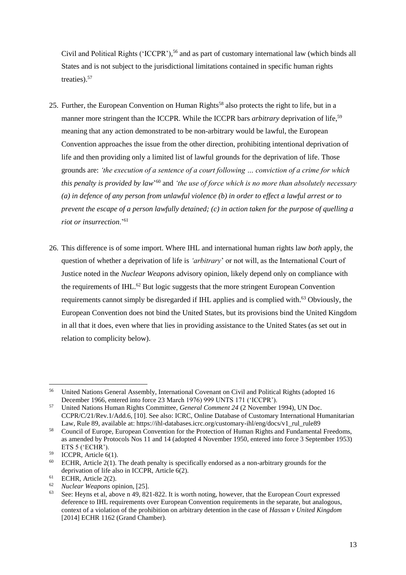Civil and Political Rights ('ICCPR'), <sup>56</sup> and as part of customary international law (which binds all States and is not subject to the jurisdictional limitations contained in specific human rights treaties).<sup>57</sup>

- 25. Further, the European Convention on Human Rights<sup>58</sup> also protects the right to life, but in a manner more stringent than the ICCPR. While the ICCPR bars *arbitrary* deprivation of life,<sup>59</sup> meaning that any action demonstrated to be non-arbitrary would be lawful, the European Convention approaches the issue from the other direction, prohibiting intentional deprivation of life and then providing only a limited list of lawful grounds for the deprivation of life. Those grounds are: *'the execution of a sentence of a court following … conviction of a crime for which this penalty is provided by law*' <sup>60</sup> and *'the use of force which is no more than absolutely necessary (a) in defence of any person from unlawful violence (b) in order to effect a lawful arrest or to prevent the escape of a person lawfully detained; (c) in action taken for the purpose of quelling a riot or insurrection*.'<sup>61</sup>
- 26. This difference is of some import. Where IHL and international human rights law *both* apply, the question of whether a deprivation of life is *'arbitrary*' or not will, as the International Court of Justice noted in the *Nuclear Weapons* advisory opinion, likely depend only on compliance with the requirements of IHL.<sup>62</sup> But logic suggests that the more stringent European Convention requirements cannot simply be disregarded if IHL applies and is complied with.<sup>63</sup> Obviously, the European Convention does not bind the United States, but its provisions bind the United Kingdom in all that it does, even where that lies in providing assistance to the United States (as set out in relation to complicity below).

 $\overline{a}$ <sup>56</sup> United Nations General Assembly, International Covenant on Civil and Political Rights (adopted 16 December 1966, entered into force 23 March 1976) 999 UNTS 171 ('ICCPR').

<sup>57</sup> United Nations Human Rights Committee, *General Comment 24* (2 November 1994), UN Doc. CCPR/C/21/Rev.1/Add.6, [10]. See also: ICRC, Online Database of Customary International Humanitarian Law, Rule 89, available at: https://ihl-databases.icrc.org/customary-ihl/eng/docs/v1\_rul\_rule89

<sup>58</sup> Council of Europe, European Convention for the Protection of Human Rights and Fundamental Freedoms, as amended by Protocols Nos 11 and 14 (adopted 4 November 1950, entered into force 3 September 1953) ETS 5 ('ECHR').

 $59$  ICCPR, Article 6(1).

 $60$  ECHR, Article 2(1). The death penalty is specifically endorsed as a non-arbitrary grounds for the deprivation of life also in ICCPR, Article 6(2).

 $^{61}$  ECHR, Article 2(2).

<sup>62</sup> *Nuclear Weapons* opinion, [25].

<sup>63</sup> See: Heyns et al, above n 49, 821-822. It is worth noting, however, that the European Court expressed deference to IHL requirements over European Convention requirements in the separate, but analogous, context of a violation of the prohibition on arbitrary detention in the case of *Hassan v United Kingdom* [2014] ECHR 1162 (Grand Chamber).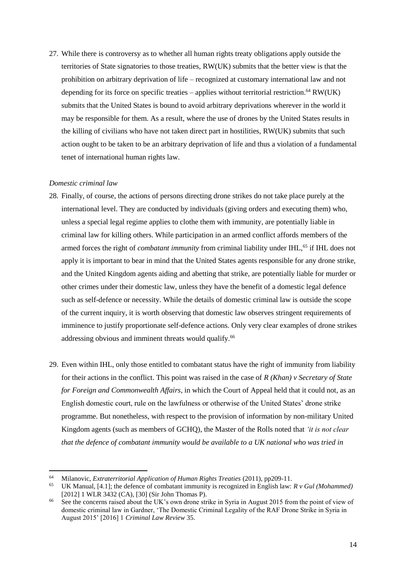27. While there is controversy as to whether all human rights treaty obligations apply outside the territories of State signatories to those treaties, RW(UK) submits that the better view is that the prohibition on arbitrary deprivation of life – recognized at customary international law and not depending for its force on specific treaties – applies without territorial restriction. <sup>64</sup> RW(UK) submits that the United States is bound to avoid arbitrary deprivations wherever in the world it may be responsible for them. As a result, where the use of drones by the United States results in the killing of civilians who have not taken direct part in hostilities, RW(UK) submits that such action ought to be taken to be an arbitrary deprivation of life and thus a violation of a fundamental tenet of international human rights law.

#### *Domestic criminal law*

 $\overline{a}$ 

- 28. Finally, of course, the actions of persons directing drone strikes do not take place purely at the international level. They are conducted by individuals (giving orders and executing them) who, unless a special legal regime applies to clothe them with immunity, are potentially liable in criminal law for killing others. While participation in an armed conflict affords members of the armed forces the right of *combatant immunity* from criminal liability under IHL,<sup>65</sup> if IHL does not apply it is important to bear in mind that the United States agents responsible for any drone strike, and the United Kingdom agents aiding and abetting that strike, are potentially liable for murder or other crimes under their domestic law, unless they have the benefit of a domestic legal defence such as self-defence or necessity. While the details of domestic criminal law is outside the scope of the current inquiry, it is worth observing that domestic law observes stringent requirements of imminence to justify proportionate self-defence actions. Only very clear examples of drone strikes addressing obvious and imminent threats would qualify.<sup>66</sup>
- 29. Even within IHL, only those entitled to combatant status have the right of immunity from liability for their actions in the conflict. This point was raised in the case of *R (Khan) v Secretary of State for Foreign and Commonwealth Affairs*, in which the Court of Appeal held that it could not, as an English domestic court, rule on the lawfulness or otherwise of the United States' drone strike programme. But nonetheless, with respect to the provision of information by non-military United Kingdom agents (such as members of GCHQ), the Master of the Rolls noted that *'it is not clear that the defence of combatant immunity would be available to a UK national who was tried in*

<sup>64</sup> Milanovic, *Extraterritorial Application of Human Rights Treaties* (2011), pp209-11.

<sup>65</sup> UK Manual, [4.1]; the defence of combatant immunity is recognized in English law: *R v Gul (Mohammed)*  [2012] 1 WLR 3432 (CA), [30] (Sir John Thomas P).

See the concerns raised about the UK's own drone strike in Syria in August 2015 from the point of view of domestic criminal law in Gardner, 'The Domestic Criminal Legality of the RAF Drone Strike in Syria in August 2015' [2016] 1 *Criminal Law Review* 35.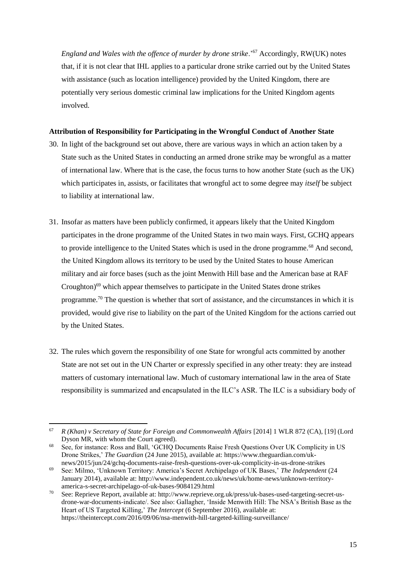*England and Wales with the offence of murder by drone strike.*<sup>567</sup> Accordingly, RW(UK) notes that, if it is not clear that IHL applies to a particular drone strike carried out by the United States with assistance (such as location intelligence) provided by the United Kingdom, there are potentially very serious domestic criminal law implications for the United Kingdom agents involved.

### **Attribution of Responsibility for Participating in the Wrongful Conduct of Another State**

- 30. In light of the background set out above, there are various ways in which an action taken by a State such as the United States in conducting an armed drone strike may be wrongful as a matter of international law. Where that is the case, the focus turns to how another State (such as the UK) which participates in, assists, or facilitates that wrongful act to some degree may *itself* be subject to liability at international law.
- 31. Insofar as matters have been publicly confirmed, it appears likely that the United Kingdom participates in the drone programme of the United States in two main ways. First, GCHQ appears to provide intelligence to the United States which is used in the drone programme.<sup>68</sup> And second, the United Kingdom allows its territory to be used by the United States to house American military and air force bases (such as the joint Menwith Hill base and the American base at RAF Croughton)<sup>69</sup> which appear themselves to participate in the United States drone strikes programme.<sup>70</sup> The question is whether that sort of assistance, and the circumstances in which it is provided, would give rise to liability on the part of the United Kingdom for the actions carried out by the United States.
- 32. The rules which govern the responsibility of one State for wrongful acts committed by another State are not set out in the UN Charter or expressly specified in any other treaty: they are instead matters of customary international law. Much of customary international law in the area of State responsibility is summarized and encapsulated in the ILC's ASR. The ILC is a subsidiary body of

<sup>67</sup> <sup>67</sup> *R (Khan) v Secretary of State for Foreign and Commonwealth Affairs* [2014] 1 WLR 872 (CA), [19] (Lord Dyson MR, with whom the Court agreed).

<sup>&</sup>lt;sup>68</sup> See, for instance: Ross and Ball, 'GCHQ Documents Raise Fresh Questions Over UK Complicity in US Drone Strikes,' *The Guardian* (24 June 2015), available at: https://www.theguardian.com/uknews/2015/jun/24/gchq-documents-raise-fresh-questions-over-uk-complicity-in-us-drone-strikes

<sup>69</sup> See: Milmo, 'Unknown Territory: America's Secret Archipelago of UK Bases,' *The Independent* (24 January 2014), available at: http://www.independent.co.uk/news/uk/home-news/unknown-territoryamerica-s-secret-archipelago-of-uk-bases-9084129.html

<sup>70</sup> See: Reprieve Report, available at: http://www.reprieve.org.uk/press/uk-bases-used-targeting-secret-usdrone-war-documents-indicate/. See also: Gallagher, 'Inside Menwith Hill: The NSA's British Base as the Heart of US Targeted Killing,' *The Intercept* (6 September 2016), available at: https://theintercept.com/2016/09/06/nsa-menwith-hill-targeted-killing-surveillance/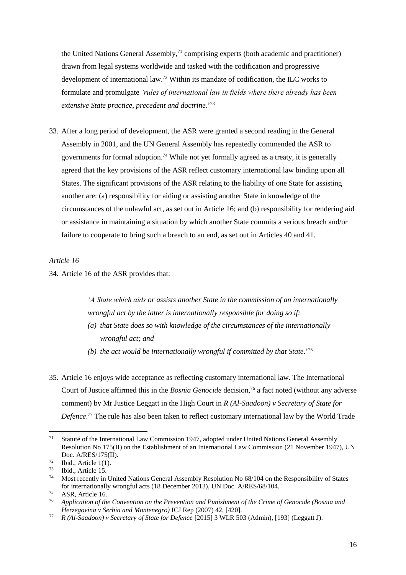the United Nations General Assembly,<sup>71</sup> comprising experts (both academic and practitioner) drawn from legal systems worldwide and tasked with the codification and progressive development of international law.<sup>72</sup> Within its mandate of codification, the ILC works to formulate and promulgate *'rules of international law in fields where there already has been extensive State practice, precedent and doctrine*.'<sup>73</sup>

33. After a long period of development, the ASR were granted a second reading in the General Assembly in 2001, and the UN General Assembly has repeatedly commended the ASR to governments for formal adoption.<sup>74</sup> While not yet formally agreed as a treaty, it is generally agreed that the key provisions of the ASR reflect customary international law binding upon all States. The significant provisions of the ASR relating to the liability of one State for assisting another are: (a) responsibility for aiding or assisting another State in knowledge of the circumstances of the unlawful act, as set out in Article 16; and (b) responsibility for rendering aid or assistance in maintaining a situation by which another State commits a serious breach and/or failure to cooperate to bring such a breach to an end, as set out in Articles 40 and 41.

#### *Article 16*

34. Article 16 of the ASR provides that:

*'A State which aids or assists another State in the commission of an internationally wrongful act by the latter is internationally responsible for doing so if:*

- *(a) that State does so with knowledge of the circumstances of the internationally wrongful act; and*
- *(b) the act would be internationally wrongful if committed by that State*.'<sup>75</sup>
- 35. Article 16 enjoys wide acceptance as reflecting customary international law. The International Court of Justice affirmed this in the *Bosnia Genocide* decision,<sup>76</sup> a fact noted (without any adverse comment) by Mr Justice Leggatt in the High Court in *R (Al-Saadoon) v Secretary of State for Defence*. <sup>77</sup> The rule has also been taken to reflect customary international law by the World Trade

<sup>71</sup> <sup>71</sup> Statute of the International Law Commission 1947, adopted under United Nations General Assembly Resolution No 175(II) on the Establishment of an International Law Commission (21 November 1947), UN Doc. A/RES/175(II).

 $^{72}$  Ibid., Article 1(1).

 $^{73}$  Ibid., Article 15.

<sup>74</sup> Most recently in United Nations General Assembly Resolution No 68/104 on the Responsibility of States for internationally wrongful acts (18 December 2013), UN Doc. A/RES/68/104.

<sup>75</sup> ASR, Article 16.

<sup>76</sup> *Application of the Convention on the Prevention and Punishment of the Crime of Genocide (Bosnia and Herzegovina v Serbia and Montenegro)* ICJ Rep (2007) 42, [420].

<sup>77</sup> *R (Al-Saadoon) v Secretary of State for Defence* [2015] 3 WLR 503 (Admin), [193] (Leggatt J).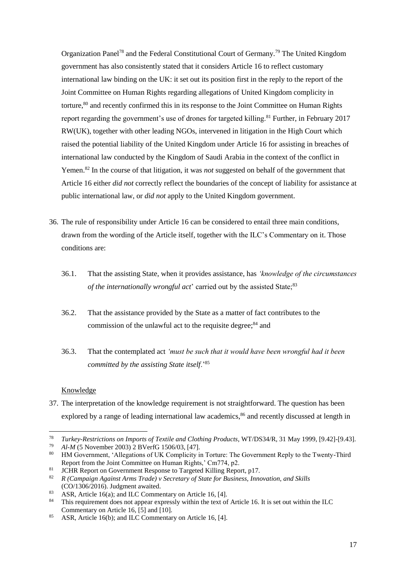Organization Panel<sup>78</sup> and the Federal Constitutional Court of Germany.<sup>79</sup> The United Kingdom government has also consistently stated that it considers Article 16 to reflect customary international law binding on the UK: it set out its position first in the reply to the report of the Joint Committee on Human Rights regarding allegations of United Kingdom complicity in torture,<sup>80</sup> and recently confirmed this in its response to the Joint Committee on Human Rights report regarding the government's use of drones for targeted killing.<sup>81</sup> Further, in February 2017 RW(UK), together with other leading NGOs, intervened in litigation in the High Court which raised the potential liability of the United Kingdom under Article 16 for assisting in breaches of international law conducted by the Kingdom of Saudi Arabia in the context of the conflict in Yemen.<sup>82</sup> In the course of that litigation, it was *not* suggested on behalf of the government that Article 16 either *did not* correctly reflect the boundaries of the concept of liability for assistance at public international law, or *did not* apply to the United Kingdom government.

- 36. The rule of responsibility under Article 16 can be considered to entail three main conditions, drawn from the wording of the Article itself, together with the ILC's Commentary on it. Those conditions are:
	- 36.1. That the assisting State, when it provides assistance, has *'knowledge of the circumstances of the internationally wrongful act*' carried out by the assisted State;<sup>83</sup>
	- 36.2. That the assistance provided by the State as a matter of fact contributes to the commission of the unlawful act to the requisite degree; $84$  and
	- 36.3. That the contemplated act *'must be such that it would have been wrongful had it been committed by the assisting State itself*.'<sup>85</sup>

#### Knowledge

 $\overline{a}$ 

37. The interpretation of the knowledge requirement is not straightforward. The question has been explored by a range of leading international law academics,<sup>86</sup> and recently discussed at length in

<sup>78</sup> *Turkey-Restrictions on Imports of Textile and Clothing Products*, WT/DS34/R, 31 May 1999, [9.42]-[9.43].

<sup>79</sup> *Al-M* (5 November 2003) 2 BVerfG 1506/03, [47].

<sup>80</sup> HM Government, 'Allegations of UK Complicity in Torture: The Government Reply to the Twenty-Third Report from the Joint Committee on Human Rights,' Cm774, p2.

<sup>&</sup>lt;sup>81</sup> JCHR Report on Government Response to Targeted Killing Report, p17.

<sup>82</sup> *R (Campaign Against Arms Trade) v Secretary of State for Business, Innovation, and Skills* (CO/1306/2016). Judgment awaited.

<sup>83</sup> ASR, Article 16(a); and ILC Commentary on Article 16, [4].

<sup>&</sup>lt;sup>84</sup> This requirement does not appear expressly within the text of Article 16. It is set out within the ILC Commentary on Article 16, [5] and [10].

<sup>85</sup> ASR, Article 16(b); and ILC Commentary on Article 16, [4].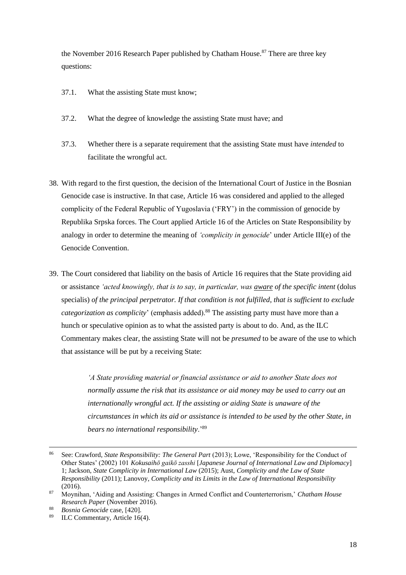the November 2016 Research Paper published by Chatham House.<sup>87</sup> There are three key questions:

- 37.1. What the assisting State must know;
- 37.2. What the degree of knowledge the assisting State must have; and
- 37.3. Whether there is a separate requirement that the assisting State must have *intended* to facilitate the wrongful act.
- 38. With regard to the first question, the decision of the International Court of Justice in the Bosnian Genocide case is instructive. In that case, Article 16 was considered and applied to the alleged complicity of the Federal Republic of Yugoslavia ('FRY') in the commission of genocide by Republika Srpska forces. The Court applied Article 16 of the Articles on State Responsibility by analogy in order to determine the meaning of *'complicity in genocide*' under Article III(e) of the Genocide Convention.
- 39. The Court considered that liability on the basis of Article 16 requires that the State providing aid or assistance *'acted knowingly, that is to say, in particular, was aware of the specific intent* (dolus specialis) *of the principal perpetrator. If that condition is not fulfilled, that is sufficient to exclude categorization as complicity*' (emphasis added).<sup>88</sup> The assisting party must have more than a hunch or speculative opinion as to what the assisted party is about to do. And, as the ILC Commentary makes clear, the assisting State will not be *presumed* to be aware of the use to which that assistance will be put by a receiving State:

*'A State providing material or financial assistance or aid to another State does not normally assume the risk that its assistance or aid money may be used to carry out an internationally wrongful act. If the assisting or aiding State is unaware of the circumstances in which its aid or assistance is intended to be used by the other State, in bears no international responsibility*.'<sup>89</sup>

<sup>86</sup> <sup>86</sup> See: Crawford, *State Responsibility: The General Part* (2013); Lowe, 'Responsibility for the Conduct of Other States' (2002) 101 *Kokusaihō gaikō zasshi* [*Japanese Journal of International Law and Diplomacy*] 1; Jackson, *State Complicity in International Law* (2015); Aust, *Complicity and the Law of State Responsibility* (2011); Lanovoy, *Complicity and its Limits in the Law of International Responsibility* (2016).

<sup>87</sup> Moynihan, 'Aiding and Assisting: Changes in Armed Conflict and Counterterrorism,' *Chatham House Research Paper* (November 2016).

<sup>88</sup> *Bosnia Genocide* case, [420].

<sup>89</sup> ILC Commentary, Article 16(4).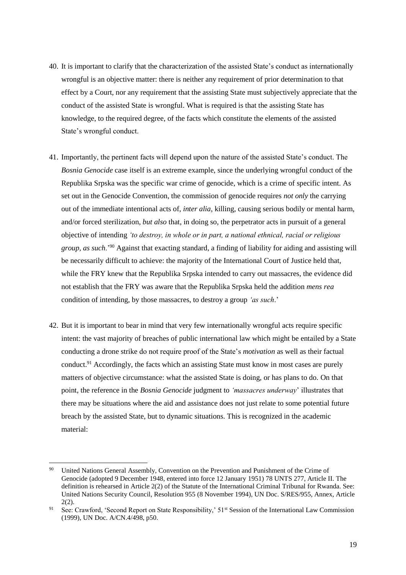- 40. It is important to clarify that the characterization of the assisted State's conduct as internationally wrongful is an objective matter: there is neither any requirement of prior determination to that effect by a Court, nor any requirement that the assisting State must subjectively appreciate that the conduct of the assisted State is wrongful. What is required is that the assisting State has knowledge, to the required degree, of the facts which constitute the elements of the assisted State's wrongful conduct.
- 41. Importantly, the pertinent facts will depend upon the nature of the assisted State's conduct. The *Bosnia Genocide* case itself is an extreme example, since the underlying wrongful conduct of the Republika Srpska was the specific war crime of genocide, which is a crime of specific intent. As set out in the Genocide Convention, the commission of genocide requires *not only* the carrying out of the immediate intentional acts of, *inter alia*, killing, causing serious bodily or mental harm, and/or forced sterilization, *but also* that, in doing so, the perpetrator acts in pursuit of a general objective of intending *'to destroy, in whole or in part, a national ethnical, racial or religious group, as such*.'<sup>90</sup> Against that exacting standard, a finding of liability for aiding and assisting will be necessarily difficult to achieve: the majority of the International Court of Justice held that, while the FRY knew that the Republika Srpska intended to carry out massacres, the evidence did not establish that the FRY was aware that the Republika Srpska held the addition *mens rea* condition of intending, by those massacres, to destroy a group *'as such*.'
- 42. But it is important to bear in mind that very few internationally wrongful acts require specific intent: the vast majority of breaches of public international law which might be entailed by a State conducting a drone strike do not require proof of the State's *motivation* as well as their factual conduct.<sup>91</sup> Accordingly, the facts which an assisting State must know in most cases are purely matters of objective circumstance: what the assisted State is doing, or has plans to do. On that point, the reference in the *Bosnia Genocide* judgment to *'massacres underway*' illustrates that there may be situations where the aid and assistance does not just relate to some potential future breach by the assisted State, but to dynamic situations. This is recognized in the academic material:

<sup>90</sup> <sup>90</sup> United Nations General Assembly, Convention on the Prevention and Punishment of the Crime of Genocide (adopted 9 December 1948, entered into force 12 January 1951) 78 UNTS 277, Article II. The definition is rehearsed in Article 2(2) of the Statute of the International Criminal Tribunal for Rwanda. See: United Nations Security Council, Resolution 955 (8 November 1994), UN Doc. S/RES/955, Annex, Article 2(2).

<sup>&</sup>lt;sup>91</sup> See: Crawford, 'Second Report on State Responsibility,' 51<sup>st</sup> Session of the International Law Commission (1999), UN Doc. A/CN.4/498, p50.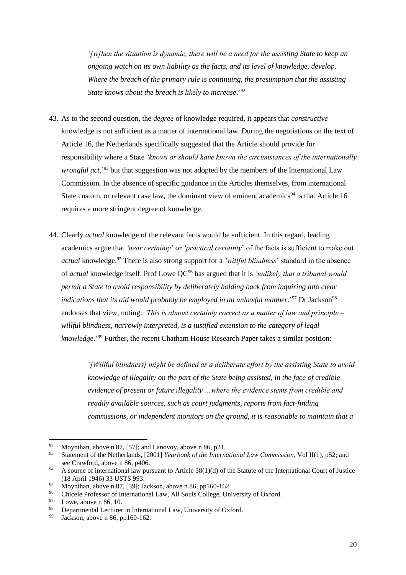*'[w]hen the situation is dynamic, there will be a need for the assisting State to keep an ongoing watch on its own liability as the facts, and its level of knowledge, develop. Where the breach of the primary rule is continuing, the presumption that the assisting State knows about the breach is likely to increase*.'<sup>92</sup>

- 43. As to the second question, the *degree* of knowledge required, it appears that *constructive*  knowledge is not sufficient as a matter of international law. During the negotiations on the text of Article 16, the Netherlands specifically suggested that the Article should provide for responsibility where a State *'knows or should have known the circumstances of the internationally wrongful act*,'<sup>93</sup> but that suggestion was not adopted by the members of the International Law Commission. In the absence of specific guidance in the Articles themselves, from international State custom, or relevant case law, the dominant view of eminent academics<sup>94</sup> is that Article 16 requires a more stringent degree of knowledge.
- 44. Clearly *actual* knowledge of the relevant facts would be sufficient. In this regard, leading academics argue that *'near certainty*' or *'practical certainty*' of the facts is sufficient to make out *actual* knowledge.<sup>95</sup> There is also strong support for a *'willful blindness*' standard in the absence of *actual* knowledge itself. Prof Lowe QC<sup>96</sup> has argued that it is *'unlikely that a tribunal would permit a State to avoid responsibility by deliberately holding back from inquiring into clear indications that its aid would probably be employed in an unlawful manner*.<sup>'97</sup> Dr Jackson<sup>98</sup> endorses that view, noting: *'This is almost certainly correct as a matter of law and principle – willful blindness, narrowly interpreted, is a justified extension to the category of legal knowledge*.'<sup>99</sup> Further, the recent Chatham House Research Paper takes a similar position:

*'[Willful blindness] might be defined as a deliberate effort by the assisting State to avoid knowledge of illegality on the part of the State being assisted, in the face of credible evidence of present or future illegality …where the evidence stems from credible and readily available sources, such as court judgments, reports from fact-finding commissions, or independent monitors on the ground, it is reasonable to maintain that a* 

<sup>92</sup> <sup>92</sup> Moynihan, above n 87, [57]; and Lanovoy, above n 86, p21.<br><sup>93</sup> Statement of the Netharlanda [2001] *Vergheels of the Integr* 

<sup>93</sup> Statement of the Netherlands, [2001] *Yearbook of the International Law Commission*, Vol II(1), p52; and see Crawford, above n 86, p406.

<sup>&</sup>lt;sup>94</sup> A source of international law pursuant to Article  $38(1)(d)$  of the Statute of the International Court of Justice (18 April 1946) 33 USTS 993.

<sup>&</sup>lt;sup>95</sup> Moynihan, above n 87, [39]; Jackson, above n 86, pp160-162.<br><sup>96</sup> Chicala Professor of International Law, All Soule Collage, Uni

<sup>&</sup>lt;sup>96</sup> Chicele Professor of International Law, All Souls College, University of Oxford.<br><sup>97</sup> Lawe above n  $96-10$ 

 $^{97}$  Lowe, above n 86, 10.

<sup>&</sup>lt;sup>98</sup> Departmental Lecturer in International Law, University of Oxford.<br><sup>99</sup> Isokson, show a <sup>96</sup> an<sup>160</sup> 16<sup>2</sup>

Jackson, above n 86, pp160-162.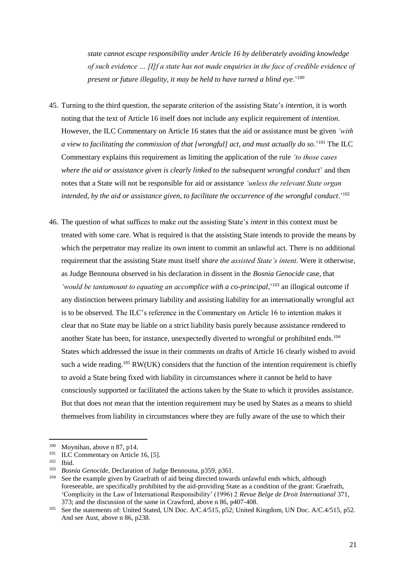*state cannot escape responsibility under Article 16 by deliberately avoiding knowledge of such evidence … [I]f a state has not made enquiries in the face of credible evidence of present or future illegality, it may be held to have turned a blind eye*.'<sup>100</sup>

- 45. Turning to the third question, the separate criterion of the assisting State's *intention*, it is worth noting that the text of Article 16 itself does not include any explicit requirement of *intention*. However, the ILC Commentary on Article 16 states that the aid or assistance must be given *'with a view to facilitating the commission of that [wrongful] act, and must actually do so*.'<sup>101</sup> The ILC Commentary explains this requirement as limiting the application of the rule *'to those cases where the aid or assistance given is clearly linked to the subsequent wrongful conduct*' and then notes that a State will not be responsible for aid or assistance *'unless the relevant State organ intended, by the aid or assistance given, to facilitate the occurrence of the wrongful conduct*.'<sup>102</sup>
- 46. The question of what suffices to make out the assisting State's *intent* in this context must be treated with some care. What is required is that the assisting State intends to provide the means by which the perpetrator may realize its own intent to commit an unlawful act. There is no additional requirement that the assisting State must itself *share the assisted State's intent*. Were it otherwise, as Judge Bennouna observed in his declaration in dissent in the *Bosnia Genocide* case, that *'would be tantamount to equating an accomplice with a co-principal*,<sup>'103</sup> an illogical outcome if any distinction between primary liability and assisting liability for an internationally wrongful act is to be observed. The ILC's reference in the Commentary on Article 16 to intention makes it clear that no State may be liable on a strict liability basis purely because assistance rendered to another State has been, for instance, unexpectedly diverted to wrongful or prohibited ends.<sup>104</sup> States which addressed the issue in their comments on drafts of Article 16 clearly wished to avoid such a wide reading.<sup>105</sup> RW(UK) considers that the function of the intention requirement is chiefly to avoid a State being fixed with liability in circumstances where it cannot be held to have consciously supported or facilitated the actions taken by the State to which it provides assistance. But that does *not* mean that the intention requirement may be used by States as a means to shield themselves from liability in circumstances where they are fully aware of the use to which their

<sup>100</sup>  $^{100}$  Moynihan, above n 87, p14.

 $101 \text{ ILC}$  Commentary on Article 16, [5].

 $\frac{102}{103}$  Ibid.

<sup>103</sup> *Bosnia Genocide*, Declaration of Judge Bennouna, p359, p361.

See the example given by Graefrath of aid being directed towards unlawful ends which, although foreseeable, are specifically prohibited by the aid-providing State as a condition of the grant: Graefrath, 'Complicity in the Law of International Responsibility' (1996) 2 *Revue Belge de Droit International* 371, 373; and the discussion of the same in Crawford, above n 86, p407-408.

<sup>105</sup> See the statements of: United Stated, UN Doc. A/C.4/515, p52; United Kingdom, UN Doc. A/C.4/515, p52. And see Aust, above n 86, p238.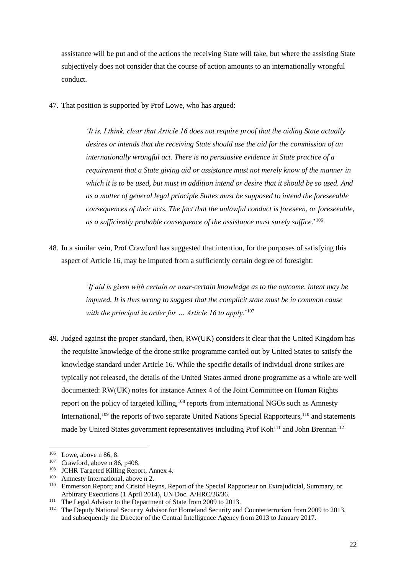assistance will be put and of the actions the receiving State will take, but where the assisting State subjectively does not consider that the course of action amounts to an internationally wrongful conduct.

47. That position is supported by Prof Lowe, who has argued:

*'It is, I think, clear that Article 16 does not require proof that the aiding State actually desires or intends that the receiving State should use the aid for the commission of an internationally wrongful act. There is no persuasive evidence in State practice of a requirement that a State giving aid or assistance must not merely know of the manner in which it is to be used, but must in addition intend or desire that it should be so used. And as a matter of general legal principle States must be supposed to intend the foreseeable consequences of their acts. The fact that the unlawful conduct is foreseen, or foreseeable, as a sufficiently probable consequence of the assistance must surely suffice.*' 106

48. In a similar vein, Prof Crawford has suggested that intention, for the purposes of satisfying this aspect of Article 16, may be imputed from a sufficiently certain degree of foresight:

> *'If aid is given with certain or near-certain knowledge as to the outcome, intent may be imputed. It is thus wrong to suggest that the complicit state must be in common cause with the principal in order for … Article 16 to apply*.'<sup>107</sup>

49. Judged against the proper standard, then, RW(UK) considers it clear that the United Kingdom has the requisite knowledge of the drone strike programme carried out by United States to satisfy the knowledge standard under Article 16. While the specific details of individual drone strikes are typically not released, the details of the United States armed drone programme as a whole are well documented: RW(UK) notes for instance Annex 4 of the Joint Committee on Human Rights report on the policy of targeted killing,<sup>108</sup> reports from international NGOs such as Amnesty International, $109$  the reports of two separate United Nations Special Rapporteurs, $110$  and statements made by United States government representatives including Prof Koh<sup>111</sup> and John Brennan<sup>112</sup>

<sup>106</sup>  $^{106}$  Lowe, above n 86, 8.<br> $^{107}$  Crowford, above n 86

 $^{107}$  Crawford, above n 86, p408.

<sup>&</sup>lt;sup>108</sup> JCHR Targeted Killing Report, Annex 4.<br><sup>109</sup> Amnesty International above n 2

Amnesty International, above n 2.

<sup>&</sup>lt;sup>110</sup> Emmerson Report; and Cristof Heyns, Report of the Special Rapporteur on Extrajudicial, Summary, or Arbitrary Executions (1 April 2014), UN Doc. A/HRC/26/36.

<sup>&</sup>lt;sup>111</sup> The Legal Advisor to the Department of State from 2009 to 2013.

<sup>&</sup>lt;sup>112</sup> The Deputy National Security Advisor for Homeland Security and Counterterrorism from 2009 to 2013, and subsequently the Director of the Central Intelligence Agency from 2013 to January 2017.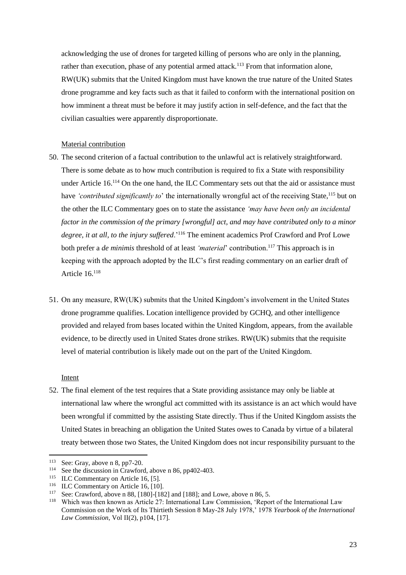acknowledging the use of drones for targeted killing of persons who are only in the planning, rather than execution, phase of any potential armed attack.<sup>113</sup> From that information alone, RW(UK) submits that the United Kingdom must have known the true nature of the United States drone programme and key facts such as that it failed to conform with the international position on how imminent a threat must be before it may justify action in self-defence, and the fact that the civilian casualties were apparently disproportionate.

#### Material contribution

- 50. The second criterion of a factual contribution to the unlawful act is relatively straightforward. There is some debate as to how much contribution is required to fix a State with responsibility under Article 16.<sup>114</sup> On the one hand, the ILC Commentary sets out that the aid or assistance must have 'contributed significantly to' the internationally wrongful act of the receiving State,<sup>115</sup> but on the other the ILC Commentary goes on to state the assistance *'may have been only an incidental factor in the commission of the primary [wrongful] act, and may have contributed only to a minor degree, it at all, to the injury suffered*.'<sup>116</sup> The eminent academics Prof Crawford and Prof Lowe both prefer a *de minimis* threshold of at least 'material' contribution.<sup>117</sup> This approach is in keeping with the approach adopted by the ILC's first reading commentary on an earlier draft of Article 16.<sup>118</sup>
- 51. On any measure, RW(UK) submits that the United Kingdom's involvement in the United States drone programme qualifies. Location intelligence provided by GCHQ, and other intelligence provided and relayed from bases located within the United Kingdom, appears, from the available evidence, to be directly used in United States drone strikes. RW(UK) submits that the requisite level of material contribution is likely made out on the part of the United Kingdom.

#### Intent

 $\overline{a}$ 

52. The final element of the test requires that a State providing assistance may only be liable at international law where the wrongful act committed with its assistance is an act which would have been wrongful if committed by the assisting State directly. Thus if the United Kingdom assists the United States in breaching an obligation the United States owes to Canada by virtue of a bilateral treaty between those two States, the United Kingdom does not incur responsibility pursuant to the

<sup>&</sup>lt;sup>113</sup> See: Gray, above n 8, pp7-20.<br><sup>114</sup> See the discussion in Crawfore

See the discussion in Crawford, above n 86, pp402-403.

<sup>&</sup>lt;sup>115</sup> ILC Commentary on Article 16, [5].

<sup>&</sup>lt;sup>116</sup> ILC Commentary on Article 16, [10].

<sup>&</sup>lt;sup>117</sup> See: Crawford, above n 88, [180]-[182] and [188]; and Lowe, above n 86, 5.<br><sup>118</sup> Which was then known as Article 27: International Law Commission (Report

Which was then known as Article 27: International Law Commission, 'Report of the International Law Commission on the Work of Its Thirtieth Session 8 May-28 July 1978,' 1978 *Yearbook of the International Law Commission*, Vol II(2), p104, [17].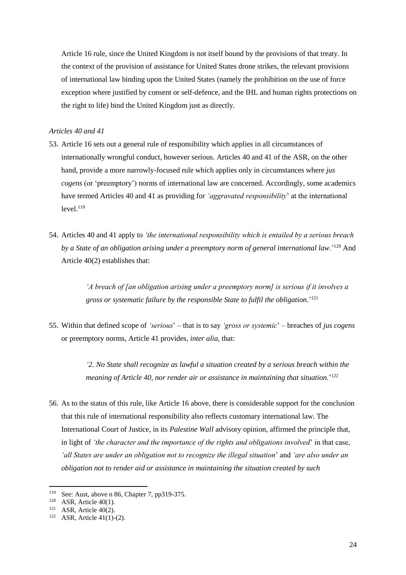Article 16 rule, since the United Kingdom is not itself bound by the provisions of that treaty. In the context of the provision of assistance for United States drone strikes, the relevant provisions of international law binding upon the United States (namely the prohibition on the use of force exception where justified by consent or self-defence, and the IHL and human rights protections on the right to life) bind the United Kingdom just as directly.

## *Articles 40 and 41*

- 53. Article 16 sets out a general rule of responsibility which applies in all circumstances of internationally wrongful conduct, however serious. Articles 40 and 41 of the ASR, on the other hand, provide a more narrowly-focused rule which applies only in circumstances where *jus cogens* (or 'preemptory') norms of international law are concerned. Accordingly, some academics have termed Articles 40 and 41 as providing for *'aggravated responsibility*' at the international  $level.<sup>119</sup>$
- 54. Articles 40 and 41 apply to *'the international responsibility which is entailed by a serious breach by a State of an obligation arising under a preemptory norm of general international law*.'<sup>120</sup> And Article 40(2) establishes that:

*'A breach of [an obligation arising under a preemptory norm] is serious if it involves a gross or systematic failure by the responsible State to fulfil the obligation*.'<sup>121</sup>

55. Within that defined scope of *'serious*' – that is to say *'gross or systemic*' – breaches of *jus cogens* or preemptory norms, Article 41 provides, *inter alia*, that:

> *'2. No State shall recognize as lawful a situation created by a serious breach within the meaning of Article 40, nor render air or assistance in maintaining that situation.*' 122

56. As to the status of this rule, like Article 16 above, there is considerable support for the conclusion that this rule of international responsibility also reflects customary international law. The International Court of Justice, in its *Palestine Wall* advisory opinion, affirmed the principle that, in light of *'the character and the importance of the rights and obligations involved*' in that case, *'all States are under an obligation not to recognize the illegal situation*' and *'are also under an obligation not to render aid or assistance in maintaining the situation created by such* 

<sup>119</sup> See: Aust, above n 86, Chapter 7, pp319-375.

<sup>&</sup>lt;sup>120</sup> ASR, Article 40(1).

<sup>&</sup>lt;sup>121</sup> ASR, Article 40(2).

<sup>122</sup> ASR, Article 41(1)-(2).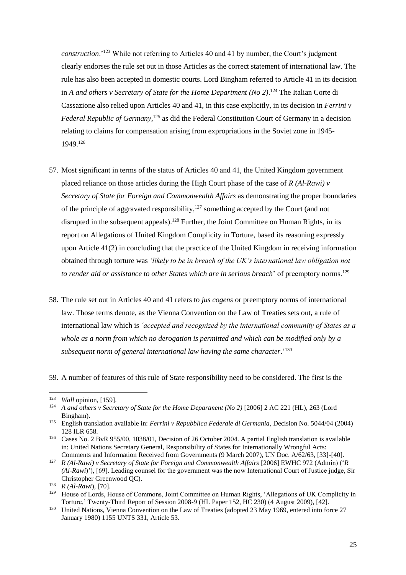*construction*.'<sup>123</sup> While not referring to Articles 40 and 41 by number, the Court's judgment clearly endorses the rule set out in those Articles as the correct statement of international law. The rule has also been accepted in domestic courts. Lord Bingham referred to Article 41 in its decision in *A and others v Secretary of State for the Home Department (No 2)*. <sup>124</sup> The Italian Corte di Cassazione also relied upon Articles 40 and 41, in this case explicitly, in its decision in *Ferrini v*  Federal Republic of Germany,<sup>125</sup> as did the Federal Constitution Court of Germany in a decision relating to claims for compensation arising from expropriations in the Soviet zone in 1945- 1949.<sup>126</sup>

- 57. Most significant in terms of the status of Articles 40 and 41, the United Kingdom government placed reliance on those articles during the High Court phase of the case of *R (Al-Rawi) v Secretary of State for Foreign and Commonwealth Affairs* as demonstrating the proper boundaries of the principle of aggravated responsibility, $127$  something accepted by the Court (and not disrupted in the subsequent appeals).<sup>128</sup> Further, the Joint Committee on Human Rights, in its report on Allegations of United Kingdom Complicity in Torture, based its reasoning expressly upon Article 41(2) in concluding that the practice of the United Kingdom in receiving information obtained through torture was *'likely to be in breach of the UK's international law obligation not to render aid or assistance to other States which are in serious breach*' of preemptory norms.<sup>129</sup>
- 58. The rule set out in Articles 40 and 41 refers to *jus cogens* or preemptory norms of international law. Those terms denote, as the Vienna Convention on the Law of Treaties sets out, a rule of international law which is *'accepted and recognized by the international community of States as a whole as a norm from which no derogation is permitted and which can be modified only by a subsequent norm of general international law having the same character*.'<sup>130</sup>

59. A number of features of this rule of State responsibility need to be considered. The first is the

l

<sup>123</sup> *Wall* opinion, [159].

<sup>124</sup> *A and others v Secretary of State for the Home Department (No 2)* [2006] 2 AC 221 (HL), 263 (Lord Bingham).

<sup>125</sup> English translation available in: *Ferrini v Repubblica Federale di Germania*, Decision No. 5044/04 (2004) 128 ILR 658.

<sup>126</sup> Cases No. 2 BvR 955/00, 1038/01, Decision of 26 October 2004. A partial English translation is available in: United Nations Secretary General, Responsibility of States for Internationally Wrongful Acts: Comments and Information Received from Governments (9 March 2007), UN Doc. A/62/63, [33]-[40].

<sup>127</sup> *R (Al-Rawi) v Secretary of State for Foreign and Commonwealth Affairs* [2006] EWHC 972 (Admin) ('*R (Al-Rawi*)'), [69]. Leading counsel for the government was the now International Court of Justice judge, Sir Christopher Greenwood QC).

<sup>128</sup> *R (Al-Rawi*), [70].

<sup>&</sup>lt;sup>129</sup> House of Lords, House of Commons, Joint Committee on Human Rights, 'Allegations of UK Complicity in Torture,' Twenty-Third Report of Session 2008-9 (HL Paper 152, HC 230) (4 August 2009), [42].

<sup>&</sup>lt;sup>130</sup> United Nations, Vienna Convention on the Law of Treaties (adopted 23 May 1969, entered into force 27 January 1980) 1155 UNTS 331, Article 53.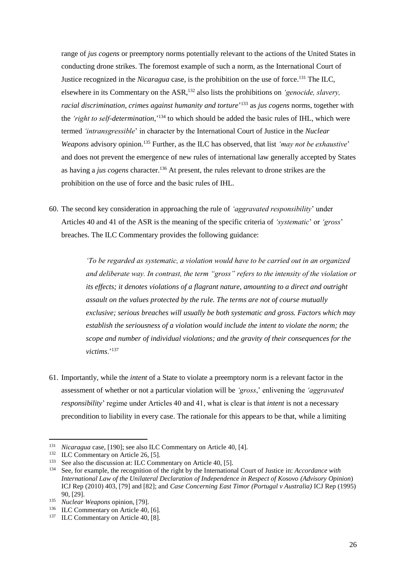range of *jus cogens* or preemptory norms potentially relevant to the actions of the United States in conducting drone strikes. The foremost example of such a norm, as the International Court of Justice recognized in the *Nicaragua* case, is the prohibition on the use of force. <sup>131</sup> The ILC, elsewhere in its Commentary on the ASR,<sup>132</sup> also lists the prohibitions on *'genocide, slavery, racial discrimination, crimes against humanity and torture*' <sup>133</sup> as *jus cogens* norms, together with the *'right to self-determination*,' <sup>134</sup> to which should be added the basic rules of IHL, which were termed *'intransgressible*' in character by the International Court of Justice in the *Nuclear Weapons* advisory opinion.<sup>135</sup> Further, as the ILC has observed, that list *'may not be exhaustive*' and does not prevent the emergence of new rules of international law generally accepted by States as having a *jus cogens* character.<sup>136</sup> At present, the rules relevant to drone strikes are the prohibition on the use of force and the basic rules of IHL.

60. The second key consideration in approaching the rule of *'aggravated responsibility*' under Articles 40 and 41 of the ASR is the meaning of the specific criteria of *'systematic*' or *'gross*' breaches. The ILC Commentary provides the following guidance:

> *'To be regarded as systematic, a violation would have to be carried out in an organized and deliberate way. In contrast, the term "gross" refers to the intensity of the violation or its effects; it denotes violations of a flagrant nature, amounting to a direct and outright assault on the values protected by the rule. The terms are not of course mutually exclusive; serious breaches will usually be both systematic and gross. Factors which may establish the seriousness of a violation would include the intent to violate the norm; the scope and number of individual violations; and the gravity of their consequences for the victims*.'<sup>137</sup>

61. Importantly, while the *intent* of a State to violate a preemptory norm is a relevant factor in the assessment of whether or not a particular violation will be *'gross*,' enlivening the *'aggravated responsibility*' regime under Articles 40 and 41, what is clear is that *intent* is not a necessary precondition to liability in every case. The rationale for this appears to be that, while a limiting

l

<sup>131</sup> *Nicaragua* case, [190]; see also ILC Commentary on Article 40, [4].

<sup>&</sup>lt;sup>132</sup> ILC Commentary on Article 26, [5].

<sup>&</sup>lt;sup>133</sup> See also the discussion at: ILC Commentary on Article 40, [5].<br><sup>134</sup> See for example, the recognition of the right by the Internations

<sup>134</sup> See, for example, the recognition of the right by the International Court of Justice in: *Accordance with International Law of the Unilateral Declaration of Independence in Respect of Kosovo (Advisory Opinion*) ICJ Rep (2010) 403, [79] and [82]; and *Case Concerning East Timor (Portugal v Australia)* ICJ Rep (1995) 90, [29].

<sup>135</sup> *Nuclear Weapons* opinion, [79].

<sup>&</sup>lt;sup>136</sup> ILC Commentary on Article 40, [6].

<sup>&</sup>lt;sup>137</sup> ILC Commentary on Article 40, [8].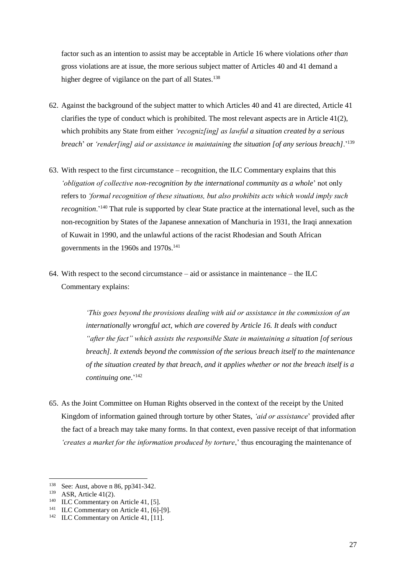factor such as an intention to assist may be acceptable in Article 16 where violations *other than*  gross violations are at issue, the more serious subject matter of Articles 40 and 41 demand a higher degree of vigilance on the part of all States.<sup>138</sup>

- 62. Against the background of the subject matter to which Articles 40 and 41 are directed, Article 41 clarifies the type of conduct which is prohibited. The most relevant aspects are in Article  $41(2)$ , which prohibits any State from either *'recogniz[ing] as lawful a situation created by a serious breach*' or *'render[ing] aid or assistance in maintaining the situation [of any serious breach]*.'<sup>139</sup>
- 63. With respect to the first circumstance recognition, the ILC Commentary explains that this *'obligation of collective non-recognition by the international community as a whole*' not only refers to *'formal recognition of these situations, but also prohibits acts which would imply such recognition*.'<sup>140</sup> That rule is supported by clear State practice at the international level, such as the non-recognition by States of the Japanese annexation of Manchuria in 1931, the Iraqi annexation of Kuwait in 1990, and the unlawful actions of the racist Rhodesian and South African governments in the 1960s and 1970s.<sup>141</sup>
- 64. With respect to the second circumstance aid or assistance in maintenance the ILC Commentary explains:

*'This goes beyond the provisions dealing with aid or assistance in the commission of an internationally wrongful act, which are covered by Article 16. It deals with conduct "after the fact" which assists the responsible State in maintaining a situation [of serious breach]. It extends beyond the commission of the serious breach itself to the maintenance of the situation created by that breach, and it applies whether or not the breach itself is a continuing one*.' 142

65. As the Joint Committee on Human Rights observed in the context of the receipt by the United Kingdom of information gained through torture by other States, *'aid or assistance*' provided after the fact of a breach may take many forms. In that context, even passive receipt of that information *'creates a market for the information produced by torture*,' thus encouraging the maintenance of

 $\overline{a}$ <sup>138</sup> See: Aust, above n 86, pp341-342.

<sup>139</sup> ASR, Article 41(2).

<sup>&</sup>lt;sup>140</sup> ILC Commentary on Article 41, [5].

<sup>&</sup>lt;sup>141</sup> ILC Commentary on Article 41, [6]-[9].

<sup>&</sup>lt;sup>142</sup> ILC Commentary on Article 41, [11].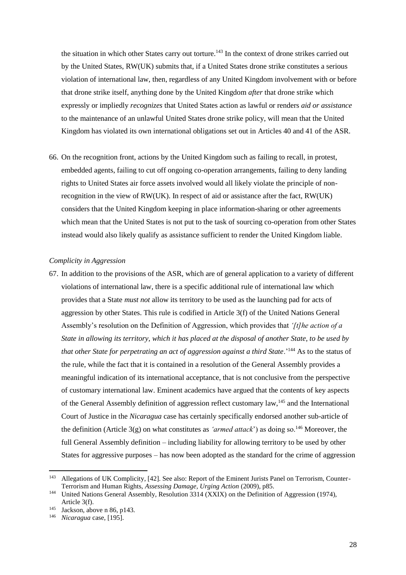the situation in which other States carry out torture.<sup>143</sup> In the context of drone strikes carried out by the United States, RW(UK) submits that, if a United States drone strike constitutes a serious violation of international law, then, regardless of any United Kingdom involvement with or before that drone strike itself, anything done by the United Kingdom *after* that drone strike which expressly or impliedly *recognizes* that United States action as lawful or renders *aid or assistance* to the maintenance of an unlawful United States drone strike policy, will mean that the United Kingdom has violated its own international obligations set out in Articles 40 and 41 of the ASR.

66. On the recognition front, actions by the United Kingdom such as failing to recall, in protest, embedded agents, failing to cut off ongoing co-operation arrangements, failing to deny landing rights to United States air force assets involved would all likely violate the principle of nonrecognition in the view of RW(UK). In respect of aid or assistance after the fact, RW(UK) considers that the United Kingdom keeping in place information-sharing or other agreements which mean that the United States is not put to the task of sourcing co-operation from other States instead would also likely qualify as assistance sufficient to render the United Kingdom liable.

#### *Complicity in Aggression*

67. In addition to the provisions of the ASR, which are of general application to a variety of different violations of international law, there is a specific additional rule of international law which provides that a State *must not* allow its territory to be used as the launching pad for acts of aggression by other States. This rule is codified in Article 3(f) of the United Nations General Assembly's resolution on the Definition of Aggression, which provides that *'[t]he action of a State in allowing its territory, which it has placed at the disposal of another State, to be used by that other State for perpetrating an act of aggression against a third State*.<sup>'144</sup> As to the status of the rule, while the fact that it is contained in a resolution of the General Assembly provides a meaningful indication of its international acceptance, that is not conclusive from the perspective of customary international law. Eminent academics have argued that the contents of key aspects of the General Assembly definition of aggression reflect customary law,<sup>145</sup> and the International Court of Justice in the *Nicaragua* case has certainly specifically endorsed another sub-article of the definition (Article 3(g) on what constitutes as *'armed attack*') as doing so.<sup>146</sup> Moreover, the full General Assembly definition – including liability for allowing territory to be used by other States for aggressive purposes – has now been adopted as the standard for the crime of aggression

<sup>143</sup> Allegations of UK Complicity, [42]. See also: Report of the Eminent Jurists Panel on Terrorism, Counter-Terrorism and Human Rights, *Assessing Damage, Urging Action* (2009), p85.

<sup>&</sup>lt;sup>144</sup> United Nations General Assembly, Resolution 3314 (XXIX) on the Definition of Aggression (1974), Article 3(f).

<sup>&</sup>lt;sup>145</sup> Jackson, above n 86, p143.<br><sup>146</sup> *Nicaragua* case [195]

<sup>146</sup> *Nicaragua* case, [195].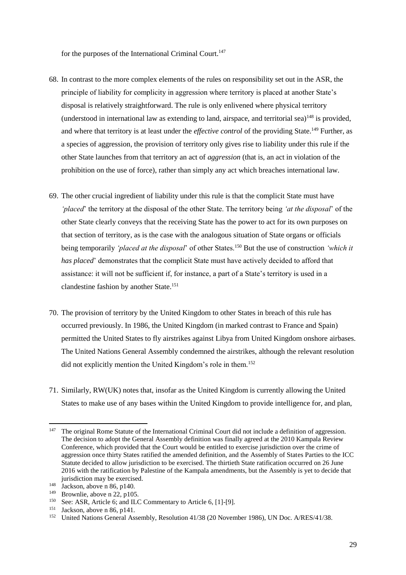for the purposes of the International Criminal Court.<sup>147</sup>

- 68. In contrast to the more complex elements of the rules on responsibility set out in the ASR, the principle of liability for complicity in aggression where territory is placed at another State's disposal is relatively straightforward. The rule is only enlivened where physical territory (understood in international law as extending to land, airspace, and territorial sea)<sup>148</sup> is provided, and where that territory is at least under the *effective control* of the providing State.<sup>149</sup> Further, as a species of aggression, the provision of territory only gives rise to liability under this rule if the other State launches from that territory an act of *aggression* (that is, an act in violation of the prohibition on the use of force), rather than simply any act which breaches international law.
- 69. The other crucial ingredient of liability under this rule is that the complicit State must have *'placed*' the territory at the disposal of the other State. The territory being *'at the disposal*' of the other State clearly conveys that the receiving State has the power to act for its own purposes on that section of territory, as is the case with the analogous situation of State organs or officials being temporarily *'placed at the disposal'* of other States.<sup>150</sup> But the use of construction *'which it has placed*' demonstrates that the complicit State must have actively decided to afford that assistance: it will not be sufficient if, for instance, a part of a State's territory is used in a clandestine fashion by another State.<sup>151</sup>
- 70. The provision of territory by the United Kingdom to other States in breach of this rule has occurred previously. In 1986, the United Kingdom (in marked contrast to France and Spain) permitted the United States to fly airstrikes against Libya from United Kingdom onshore airbases. The United Nations General Assembly condemned the airstrikes, although the relevant resolution did not explicitly mention the United Kingdom's role in them.<sup>152</sup>
- 71. Similarly, RW(UK) notes that, insofar as the United Kingdom is currently allowing the United States to make use of any bases within the United Kingdom to provide intelligence for, and plan,

l

<sup>&</sup>lt;sup>147</sup> The original Rome Statute of the International Criminal Court did not include a definition of aggression. The decision to adopt the General Assembly definition was finally agreed at the 2010 Kampala Review Conference, which provided that the Court would be entitled to exercise jurisdiction over the crime of aggression once thirty States ratified the amended definition, and the Assembly of States Parties to the ICC Statute decided to allow jurisdiction to be exercised. The thirtieth State ratification occurred on 26 June 2016 with the ratification by Palestine of the Kampala amendments, but the Assembly is yet to decide that jurisdiction may be exercised.

 $148$  Jackson, above n 86, p140.

<sup>&</sup>lt;sup>149</sup> Brownlie, above n 22, p105.<br><sup>150</sup> See: ASR Article 6: and II G

<sup>&</sup>lt;sup>150</sup> See: ASR, Article 6; and ILC Commentary to Article 6, [1]-[9].<br><sup>151</sup> Jackson shown  $26 \times 141$ 

Jackson, above n 86, p141.

<sup>&</sup>lt;sup>152</sup> United Nations General Assembly, Resolution 41/38 (20 November 1986), UN Doc. A/RES/41/38.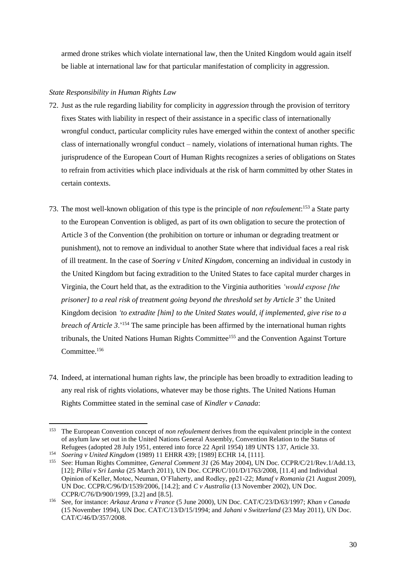armed drone strikes which violate international law, then the United Kingdom would again itself be liable at international law for that particular manifestation of complicity in aggression.

## *State Responsibility in Human Rights Law*

- 72. Just as the rule regarding liability for complicity in *aggression* through the provision of territory fixes States with liability in respect of their assistance in a specific class of internationally wrongful conduct, particular complicity rules have emerged within the context of another specific class of internationally wrongful conduct – namely, violations of international human rights. The jurisprudence of the European Court of Human Rights recognizes a series of obligations on States to refrain from activities which place individuals at the risk of harm committed by other States in certain contexts.
- 73. The most well-known obligation of this type is the principle of *non refoulement*: <sup>153</sup> a State party to the European Convention is obliged, as part of its own obligation to secure the protection of Article 3 of the Convention (the prohibition on torture or inhuman or degrading treatment or punishment), not to remove an individual to another State where that individual faces a real risk of ill treatment. In the case of *Soering v United Kingdom*, concerning an individual in custody in the United Kingdom but facing extradition to the United States to face capital murder charges in Virginia, the Court held that, as the extradition to the Virginia authorities *'would expose [the prisoner] to a real risk of treatment going beyond the threshold set by Article 3*' the United Kingdom decision *'to extradite [him] to the United States would, if implemented, give rise to a breach of Article 3*.'<sup>154</sup> The same principle has been affirmed by the international human rights tribunals, the United Nations Human Rights Committee<sup>155</sup> and the Convention Against Torture Committee.<sup>156</sup>
- 74. Indeed, at international human rights law, the principle has been broadly to extradition leading to any real risk of rights violations, whatever may be those rights. The United Nations Human Rights Committee stated in the seminal case of *Kindler v Canada*:

<sup>153</sup> <sup>153</sup> The European Convention concept of *non refoulement* derives from the equivalent principle in the context of asylum law set out in the United Nations General Assembly, Convention Relation to the Status of Refugees (adopted 28 July 1951, entered into force 22 April 1954) 189 UNTS 137, Article 33.

<sup>154</sup> *Soering v United Kingdom* (1989) 11 EHRR 439; [1989] ECHR 14, [111].

<sup>155</sup> See: Human Rights Committee, *General Comment 31* (26 May 2004), UN Doc. CCPR/C/21/Rev.1/Add.13, [12]; *Pillai v Sri Lanka* (25 March 2011), UN Doc. CCPR/C/101/D/1763/2008, [11.4] and Individual Opinion of Keller, Motoc, Neuman, O'Flaherty, and Rodley, pp21-22; *Munaf v Romania* (21 August 2009), UN Doc. CCPR/C/96/D/1539/2006, [14.2]; and *C v Australia* (13 November 2002), UN Doc. CCPR/C/76/D/900/1999, [3.2] and [8.5].

<sup>156</sup> See, for instance: *Arkauz Arana v France* (5 June 2000), UN Doc. CAT/C/23/D/63/1997; *Khan v Canada* (15 November 1994), UN Doc. CAT/C/13/D/15/1994; and *Jahani v Switzerland* (23 May 2011), UN Doc. CAT/C/46/D/357/2008.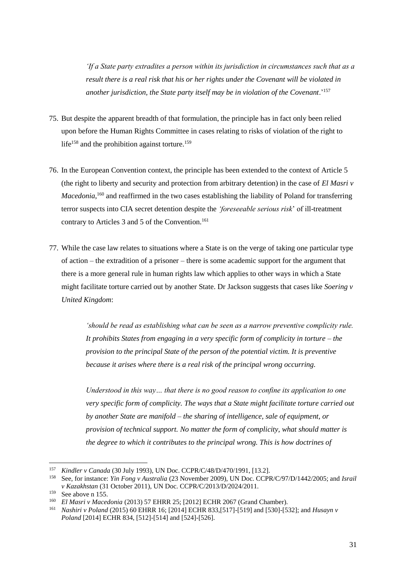*'If a State party extradites a person within its jurisdiction in circumstances such that as a result there is a real risk that his or her rights under the Covenant will be violated in another jurisdiction, the State party itself may be in violation of the Covenant*.'<sup>157</sup>

- 75. But despite the apparent breadth of that formulation, the principle has in fact only been relied upon before the Human Rights Committee in cases relating to risks of violation of the right to life<sup>158</sup> and the prohibition against torture.<sup>159</sup>
- 76. In the European Convention context, the principle has been extended to the context of Article 5 (the right to liberty and security and protection from arbitrary detention) in the case of *El Masri v*  Macedonia,<sup>160</sup> and reaffirmed in the two cases establishing the liability of Poland for transferring terror suspects into CIA secret detention despite the *'foreseeable serious risk*' of ill-treatment contrary to Articles 3 and 5 of the Convention.<sup>161</sup>
- 77. While the case law relates to situations where a State is on the verge of taking one particular type of action – the extradition of a prisoner – there is some academic support for the argument that there is a more general rule in human rights law which applies to other ways in which a State might facilitate torture carried out by another State. Dr Jackson suggests that cases like *Soering v United Kingdom*:

*'should be read as establishing what can be seen as a narrow preventive complicity rule. It prohibits States from engaging in a very specific form of complicity in torture – the provision to the principal State of the person of the potential victim. It is preventive because it arises where there is a real risk of the principal wrong occurring.*

*Understood in this way… that there is no good reason to confine its application to one very specific form of complicity. The ways that a State might facilitate torture carried out by another State are manifold – the sharing of intelligence, sale of equipment, or provision of technical support. No matter the form of complicity, what should matter is the degree to which it contributes to the principal wrong. This is how doctrines of* 

l

<sup>157</sup> *Kindler v Canada* (30 July 1993), UN Doc. CCPR/C/48/D/470/1991, [13.2].

<sup>158</sup> See, for instance: *Yin Fong v Australia* (23 November 2009), UN Doc. CCPR/C/97/D/1442/2005; and *Israil v Kazakhstan* (31 October 2011), UN Doc. CCPR/C/2013/D/2024/2011.

<sup>&</sup>lt;sup>159</sup> See above n 155.<br><sup>160</sup> El Masri v Mace

<sup>160</sup> *El Masri v Macedonia* (2013) 57 EHRR 25; [2012] ECHR 2067 (Grand Chamber).

<sup>161</sup> *Nashiri v Poland* (2015) 60 EHRR 16; [2014] ECHR 833,[517]-[519] and [530]-[532]; and *Husayn v Poland* [2014] ECHR 834, [512]-[514] and [524]-[526].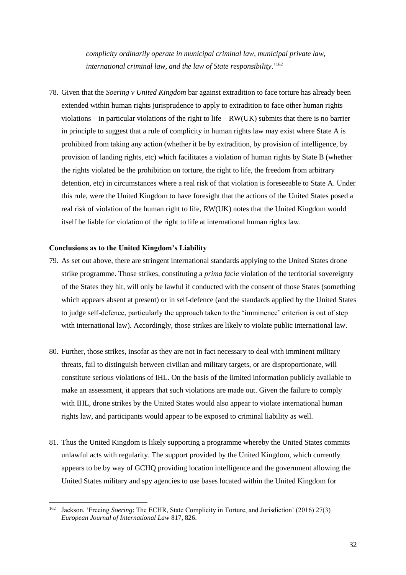*complicity ordinarily operate in municipal criminal law, municipal private law, international criminal law, and the law of State responsibility*.'<sup>162</sup>

78. Given that the *Soering v United Kingdom* bar against extradition to face torture has already been extended within human rights jurisprudence to apply to extradition to face other human rights violations – in particular violations of the right to life – RW(UK) submits that there is no barrier in principle to suggest that a rule of complicity in human rights law may exist where State A is prohibited from taking any action (whether it be by extradition, by provision of intelligence, by provision of landing rights, etc) which facilitates a violation of human rights by State B (whether the rights violated be the prohibition on torture, the right to life, the freedom from arbitrary detention, etc) in circumstances where a real risk of that violation is foreseeable to State A. Under this rule, were the United Kingdom to have foresight that the actions of the United States posed a real risk of violation of the human right to life, RW(UK) notes that the United Kingdom would itself be liable for violation of the right to life at international human rights law.

#### **Conclusions as to the United Kingdom's Liability**

 $\overline{a}$ 

- 79. As set out above, there are stringent international standards applying to the United States drone strike programme. Those strikes, constituting a *prima facie* violation of the territorial sovereignty of the States they hit, will only be lawful if conducted with the consent of those States (something which appears absent at present) or in self-defence (and the standards applied by the United States to judge self-defence, particularly the approach taken to the 'imminence' criterion is out of step with international law). Accordingly, those strikes are likely to violate public international law.
- 80. Further, those strikes, insofar as they are not in fact necessary to deal with imminent military threats, fail to distinguish between civilian and military targets, or are disproportionate, will constitute serious violations of IHL. On the basis of the limited information publicly available to make an assessment, it appears that such violations are made out. Given the failure to comply with IHL, drone strikes by the United States would also appear to violate international human rights law, and participants would appear to be exposed to criminal liability as well.
- 81. Thus the United Kingdom is likely supporting a programme whereby the United States commits unlawful acts with regularity. The support provided by the United Kingdom, which currently appears to be by way of GCHQ providing location intelligence and the government allowing the United States military and spy agencies to use bases located within the United Kingdom for

<sup>162</sup> Jackson, 'Freeing *Soering*: The ECHR, State Complicity in Torture, and Jurisdiction' (2016) 27(3) *European Journal of International Law* 817, 826.